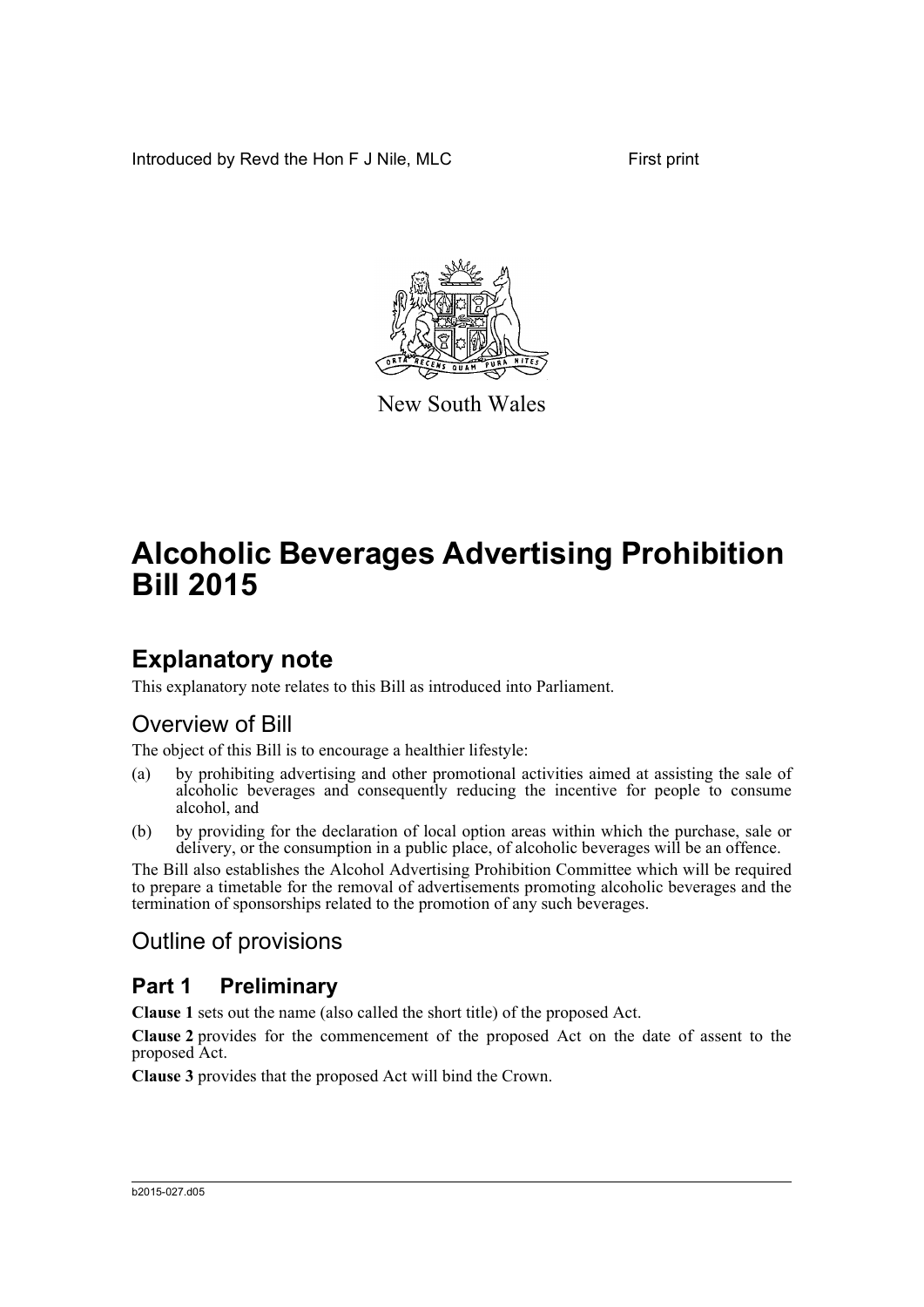Introduced by Revd the Hon F J Nile, MLC First print



New South Wales

# **Alcoholic Beverages Advertising Prohibition Bill 2015**

# **Explanatory note**

This explanatory note relates to this Bill as introduced into Parliament.

# Overview of Bill

The object of this Bill is to encourage a healthier lifestyle:

- (a) by prohibiting advertising and other promotional activities aimed at assisting the sale of alcoholic beverages and consequently reducing the incentive for people to consume alcohol, and
- (b) by providing for the declaration of local option areas within which the purchase, sale or delivery, or the consumption in a public place, of alcoholic beverages will be an offence.

The Bill also establishes the Alcohol Advertising Prohibition Committee which will be required to prepare a timetable for the removal of advertisements promoting alcoholic beverages and the termination of sponsorships related to the promotion of any such beverages.

# Outline of provisions

# **Part 1 Preliminary**

**Clause 1** sets out the name (also called the short title) of the proposed Act.

**Clause 2** provides for the commencement of the proposed Act on the date of assent to the proposed Act.

**Clause 3** provides that the proposed Act will bind the Crown.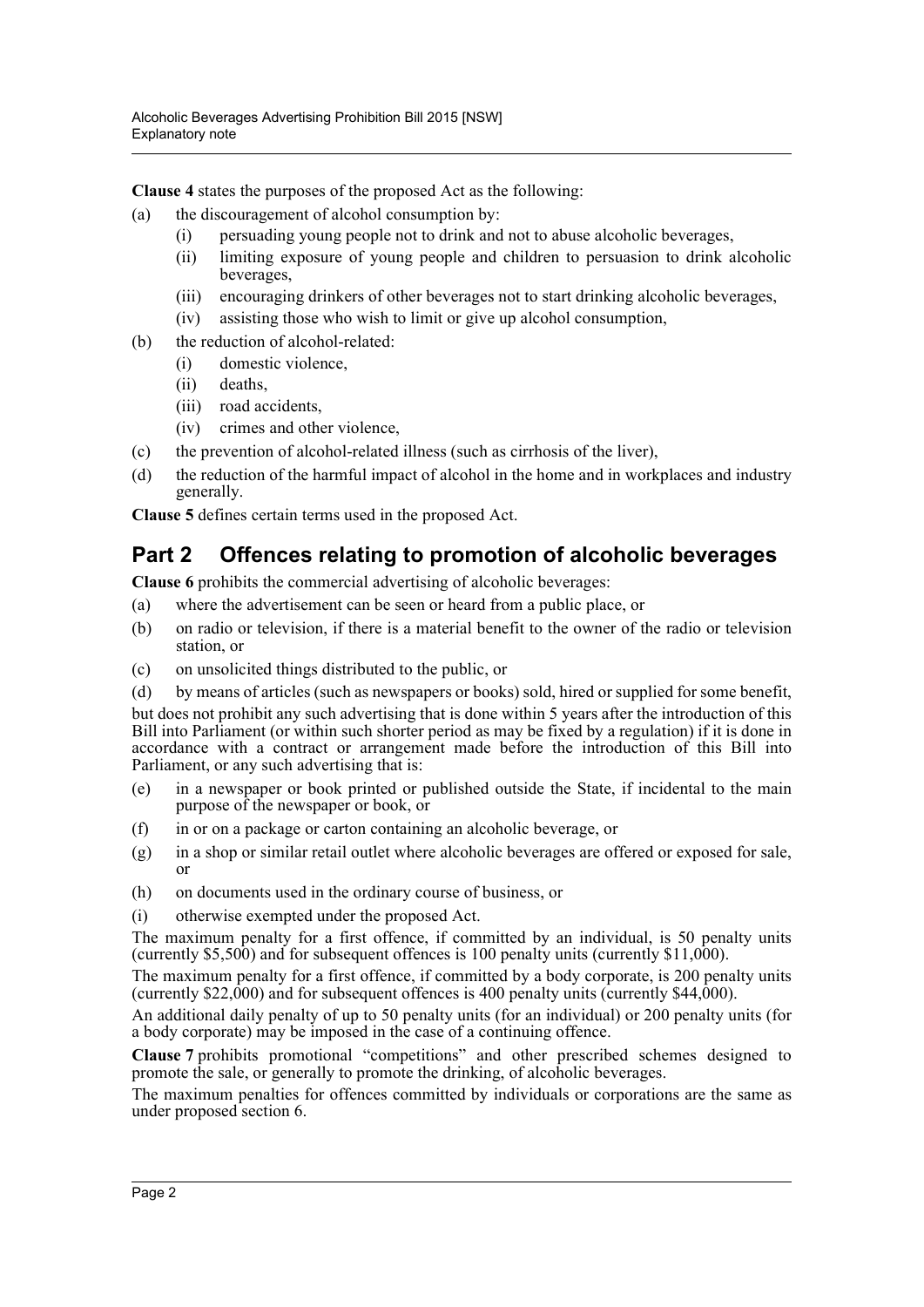**Clause 4** states the purposes of the proposed Act as the following:

- (a) the discouragement of alcohol consumption by:
	- (i) persuading young people not to drink and not to abuse alcoholic beverages,
	- (ii) limiting exposure of young people and children to persuasion to drink alcoholic beverages,
	- (iii) encouraging drinkers of other beverages not to start drinking alcoholic beverages,
	- (iv) assisting those who wish to limit or give up alcohol consumption,
- (b) the reduction of alcohol-related:
	- (i) domestic violence,
	- (ii) deaths,
	- (iii) road accidents,
	- (iv) crimes and other violence,
- (c) the prevention of alcohol-related illness (such as cirrhosis of the liver),
- (d) the reduction of the harmful impact of alcohol in the home and in workplaces and industry generally.

**Clause 5** defines certain terms used in the proposed Act.

## **Part 2 Offences relating to promotion of alcoholic beverages**

**Clause 6** prohibits the commercial advertising of alcoholic beverages:

- (a) where the advertisement can be seen or heard from a public place, or
- (b) on radio or television, if there is a material benefit to the owner of the radio or television station, or
- (c) on unsolicited things distributed to the public, or

(d) by means of articles (such as newspapers or books) sold, hired or supplied for some benefit, but does not prohibit any such advertising that is done within 5 years after the introduction of this Bill into Parliament (or within such shorter period as may be fixed by a regulation) if it is done in accordance with a contract or arrangement made before the introduction of this Bill into Parliament, or any such advertising that is:

- (e) in a newspaper or book printed or published outside the State, if incidental to the main purpose of the newspaper or book, or
- (f) in or on a package or carton containing an alcoholic beverage, or
- (g) in a shop or similar retail outlet where alcoholic beverages are offered or exposed for sale, or
- (h) on documents used in the ordinary course of business, or
- (i) otherwise exempted under the proposed Act.

The maximum penalty for a first offence, if committed by an individual, is 50 penalty units (currently \$5,500) and for subsequent offences is 100 penalty units (currently \$11,000).

The maximum penalty for a first offence, if committed by a body corporate, is 200 penalty units (currently \$22,000) and for subsequent offences is 400 penalty units (currently \$44,000).

An additional daily penalty of up to 50 penalty units (for an individual) or 200 penalty units (for a body corporate) may be imposed in the case of a continuing offence.

**Clause 7** prohibits promotional "competitions" and other prescribed schemes designed to promote the sale, or generally to promote the drinking, of alcoholic beverages.

The maximum penalties for offences committed by individuals or corporations are the same as under proposed section 6.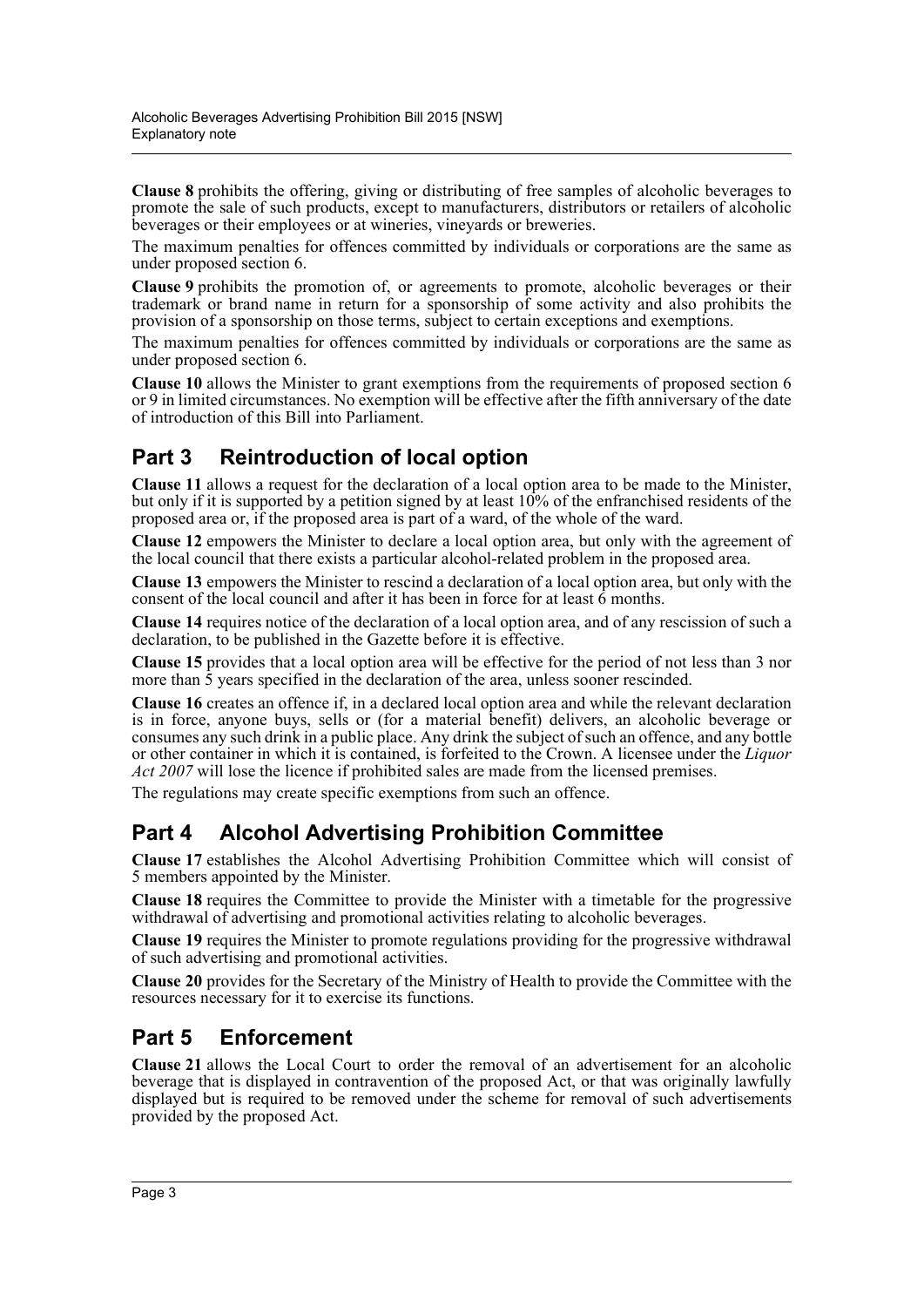**Clause 8** prohibits the offering, giving or distributing of free samples of alcoholic beverages to promote the sale of such products, except to manufacturers, distributors or retailers of alcoholic beverages or their employees or at wineries, vineyards or breweries.

The maximum penalties for offences committed by individuals or corporations are the same as under proposed section 6.

**Clause 9** prohibits the promotion of, or agreements to promote, alcoholic beverages or their trademark or brand name in return for a sponsorship of some activity and also prohibits the provision of a sponsorship on those terms, subject to certain exceptions and exemptions.

The maximum penalties for offences committed by individuals or corporations are the same as under proposed section 6.

**Clause 10** allows the Minister to grant exemptions from the requirements of proposed section 6 or 9 in limited circumstances. No exemption will be effective after the fifth anniversary of the date of introduction of this Bill into Parliament.

# **Part 3 Reintroduction of local option**

**Clause 11** allows a request for the declaration of a local option area to be made to the Minister, but only if it is supported by a petition signed by at least 10% of the enfranchised residents of the proposed area or, if the proposed area is part of a ward, of the whole of the ward.

**Clause 12** empowers the Minister to declare a local option area, but only with the agreement of the local council that there exists a particular alcohol-related problem in the proposed area.

**Clause 13** empowers the Minister to rescind a declaration of a local option area, but only with the consent of the local council and after it has been in force for at least  $\hat{6}$  months.

**Clause 14** requires notice of the declaration of a local option area, and of any rescission of such a declaration, to be published in the Gazette before it is effective.

**Clause 15** provides that a local option area will be effective for the period of not less than 3 nor more than  $\bar{5}$  years specified in the declaration of the area, unless sooner rescinded.

**Clause 16** creates an offence if, in a declared local option area and while the relevant declaration is in force, anyone buys, sells or (for a material benefit) delivers, an alcoholic beverage or consumes any such drink in a public place. Any drink the subject of such an offence, and any bottle or other container in which it is contained, is forfeited to the Crown. A licensee under the *Liquor Act 2007* will lose the licence if prohibited sales are made from the licensed premises.

The regulations may create specific exemptions from such an offence.

# **Part 4 Alcohol Advertising Prohibition Committee**

**Clause 17** establishes the Alcohol Advertising Prohibition Committee which will consist of 5 members appointed by the Minister.

**Clause 18** requires the Committee to provide the Minister with a timetable for the progressive withdrawal of advertising and promotional activities relating to alcoholic beverages.

**Clause 19** requires the Minister to promote regulations providing for the progressive withdrawal of such advertising and promotional activities.

**Clause 20** provides for the Secretary of the Ministry of Health to provide the Committee with the resources necessary for it to exercise its functions.

## **Part 5 Enforcement**

**Clause 21** allows the Local Court to order the removal of an advertisement for an alcoholic beverage that is displayed in contravention of the proposed Act, or that was originally lawfully displayed but is required to be removed under the scheme for removal of such advertisements provided by the proposed Act.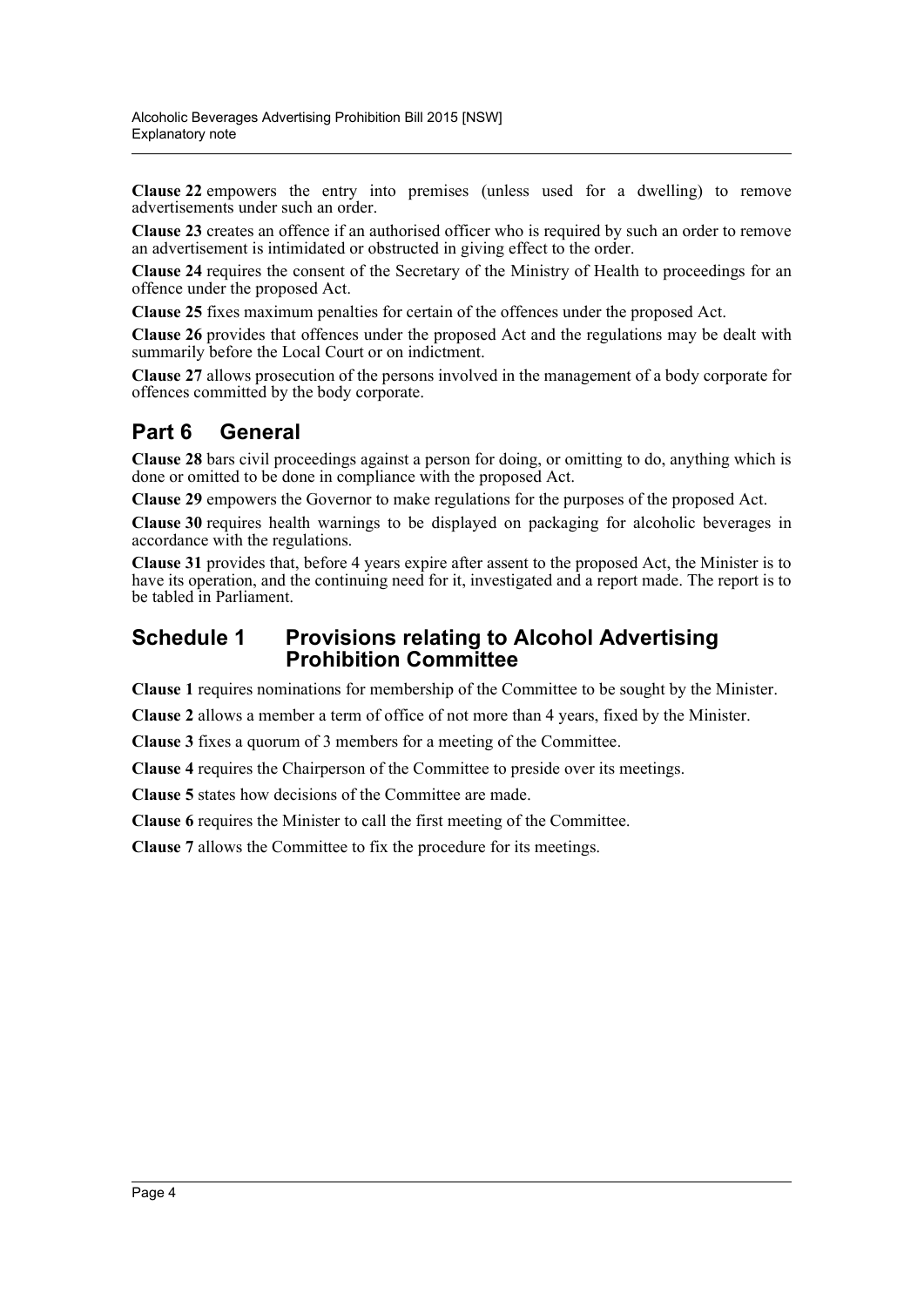**Clause 22** empowers the entry into premises (unless used for a dwelling) to remove advertisements under such an order.

**Clause 23** creates an offence if an authorised officer who is required by such an order to remove an advertisement is intimidated or obstructed in giving effect to the order.

**Clause 24** requires the consent of the Secretary of the Ministry of Health to proceedings for an offence under the proposed Act.

**Clause 25** fixes maximum penalties for certain of the offences under the proposed Act.

**Clause 26** provides that offences under the proposed Act and the regulations may be dealt with summarily before the Local Court or on indictment.

**Clause 27** allows prosecution of the persons involved in the management of a body corporate for offences committed by the body corporate.

# **Part 6 General**

**Clause 28** bars civil proceedings against a person for doing, or omitting to do, anything which is done or omitted to be done in compliance with the proposed Act.

**Clause 29** empowers the Governor to make regulations for the purposes of the proposed Act.

**Clause 30** requires health warnings to be displayed on packaging for alcoholic beverages in accordance with the regulations.

**Clause 31** provides that, before 4 years expire after assent to the proposed Act, the Minister is to have its operation, and the continuing need for it, investigated and a report made. The report is to be tabled in Parliament.

## **Schedule 1 Provisions relating to Alcohol Advertising Prohibition Committee**

**Clause 1** requires nominations for membership of the Committee to be sought by the Minister.

**Clause 2** allows a member a term of office of not more than 4 years, fixed by the Minister.

**Clause 3** fixes a quorum of 3 members for a meeting of the Committee.

**Clause 4** requires the Chairperson of the Committee to preside over its meetings.

**Clause 5** states how decisions of the Committee are made.

**Clause 6** requires the Minister to call the first meeting of the Committee.

**Clause 7** allows the Committee to fix the procedure for its meetings.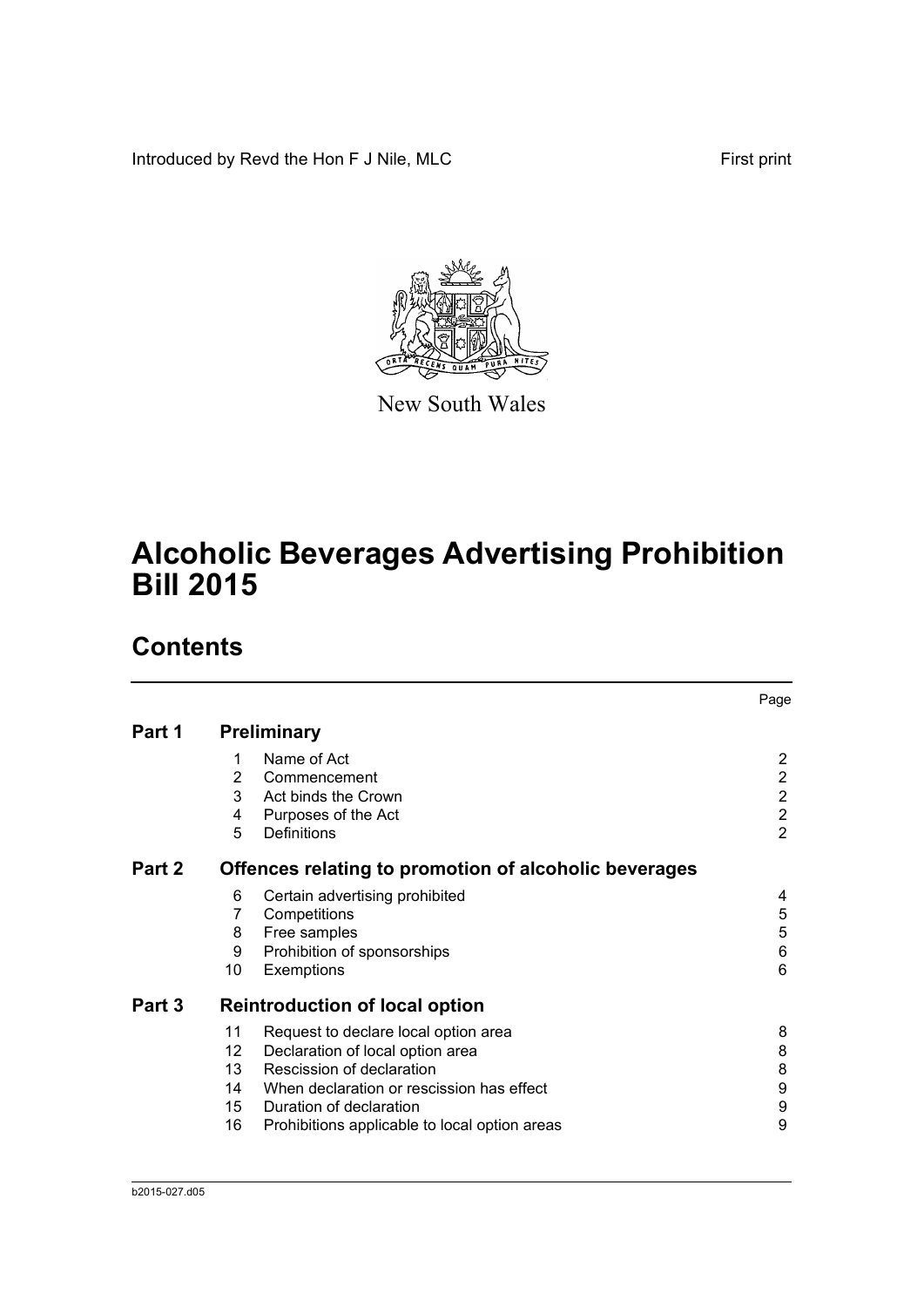Introduced by Revd the Hon F J Nile, MLC First print



New South Wales

# **Alcoholic Beverages Advertising Prohibition Bill 2015**

# **Contents**

|        |                                                       | Page           |
|--------|-------------------------------------------------------|----------------|
| Part 1 | <b>Preliminary</b>                                    |                |
|        | Name of Act<br>1                                      | 2              |
|        | 2<br>Commencement                                     | $\overline{2}$ |
|        | 3<br>Act binds the Crown                              | $\overline{2}$ |
|        | Purposes of the Act<br>4                              | $\overline{2}$ |
|        | 5<br>Definitions                                      | $\overline{2}$ |
| Part 2 | Offences relating to promotion of alcoholic beverages |                |
|        | 6<br>Certain advertising prohibited                   | 4              |
|        | 7<br>Competitions                                     | 5              |
|        | Free samples<br>8                                     | 5              |
|        | Prohibition of sponsorships<br>9                      | 6              |
|        | 10<br>Exemptions                                      | 6              |
| Part 3 | <b>Reintroduction of local option</b>                 |                |
|        | 11<br>Request to declare local option area            | 8              |
|        | 12.<br>Declaration of local option area               | 8              |
|        | Rescission of declaration<br>13                       | 8              |
|        | 14 When declaration or rescission has effect          | 9              |
|        | 15 Duration of declaration                            | 9              |
|        | 16<br>Prohibitions applicable to local option areas   | 9              |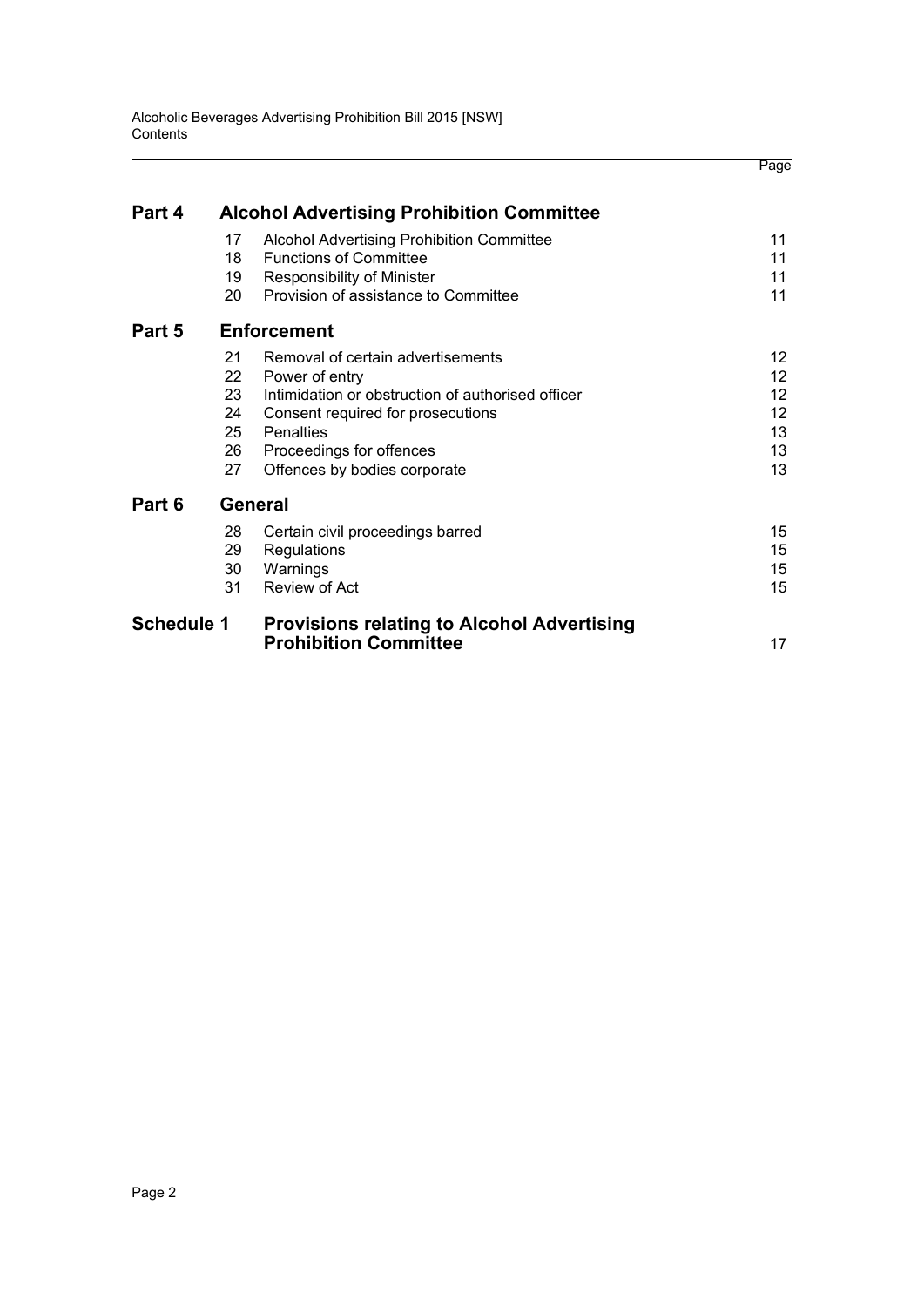|                   |    |                                                   | Page              |
|-------------------|----|---------------------------------------------------|-------------------|
| Part 4            |    | <b>Alcohol Advertising Prohibition Committee</b>  |                   |
|                   | 17 | Alcohol Advertising Prohibition Committee         | 11                |
|                   | 18 | <b>Functions of Committee</b>                     | 11                |
|                   | 19 | <b>Responsibility of Minister</b>                 | 11                |
|                   | 20 | Provision of assistance to Committee              | 11                |
| Part 5            |    | <b>Enforcement</b>                                |                   |
|                   | 21 | Removal of certain advertisements                 | 12 <sup>2</sup>   |
|                   | 22 | Power of entry                                    | 12 <sup>2</sup>   |
|                   | 23 | Intimidation or obstruction of authorised officer | $12 \overline{ }$ |
|                   | 24 | Consent required for prosecutions                 | 12                |
|                   | 25 | Penalties                                         | 13                |
|                   | 26 | Proceedings for offences                          | 13                |
|                   | 27 | Offences by bodies corporate                      | 13                |
| Part 6            |    | <b>General</b>                                    |                   |
|                   | 28 | Certain civil proceedings barred                  | 15                |
|                   | 29 | Regulations                                       | 15                |
|                   | 30 | Warnings                                          | 15                |
|                   | 31 | Review of Act                                     | 15                |
| <b>Schedule 1</b> |    | <b>Provisions relating to Alcohol Advertising</b> |                   |
|                   |    | <b>Prohibition Committee</b>                      | 17                |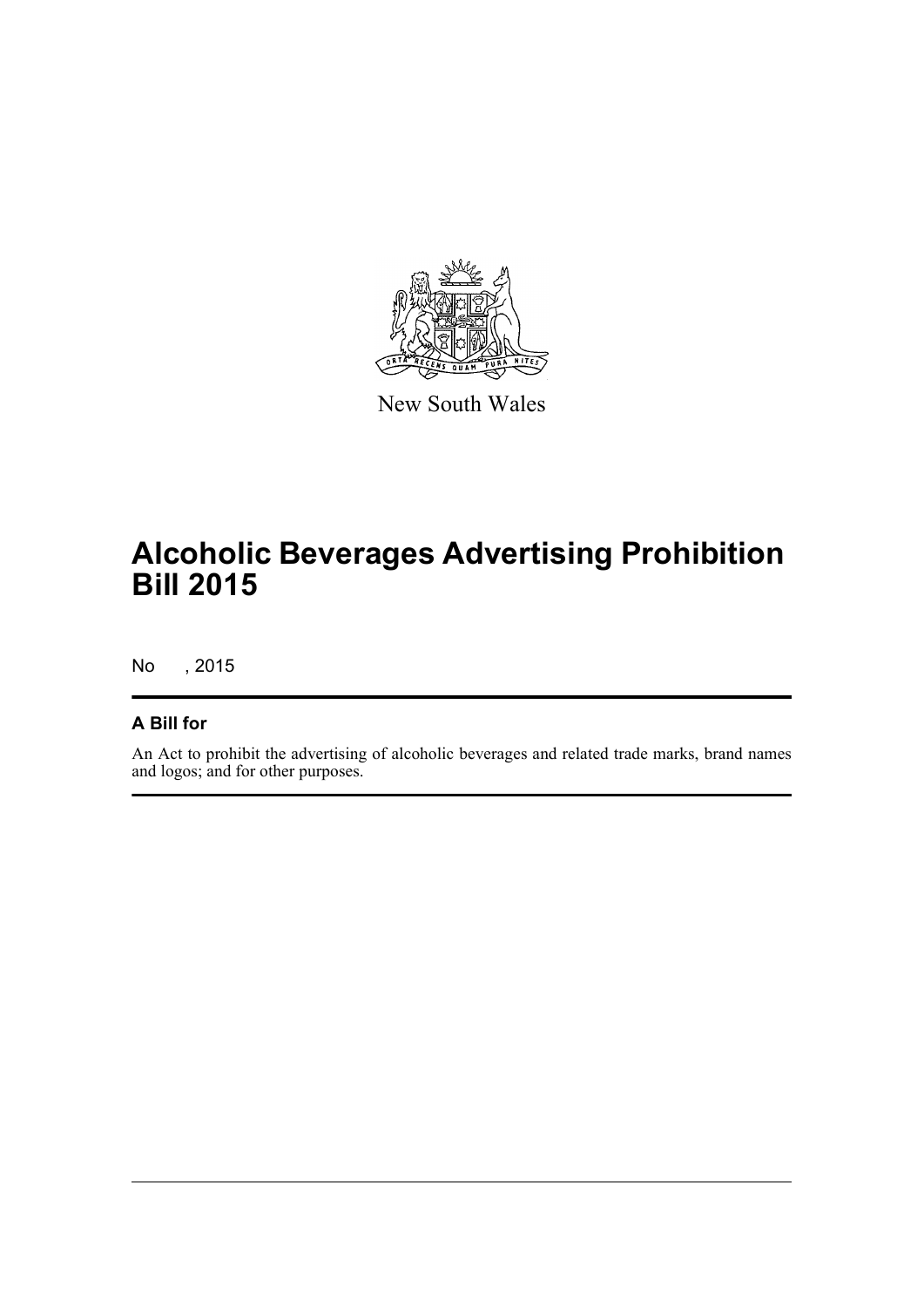

New South Wales

# **Alcoholic Beverages Advertising Prohibition Bill 2015**

No , 2015

## **A Bill for**

An Act to prohibit the advertising of alcoholic beverages and related trade marks, brand names and logos; and for other purposes.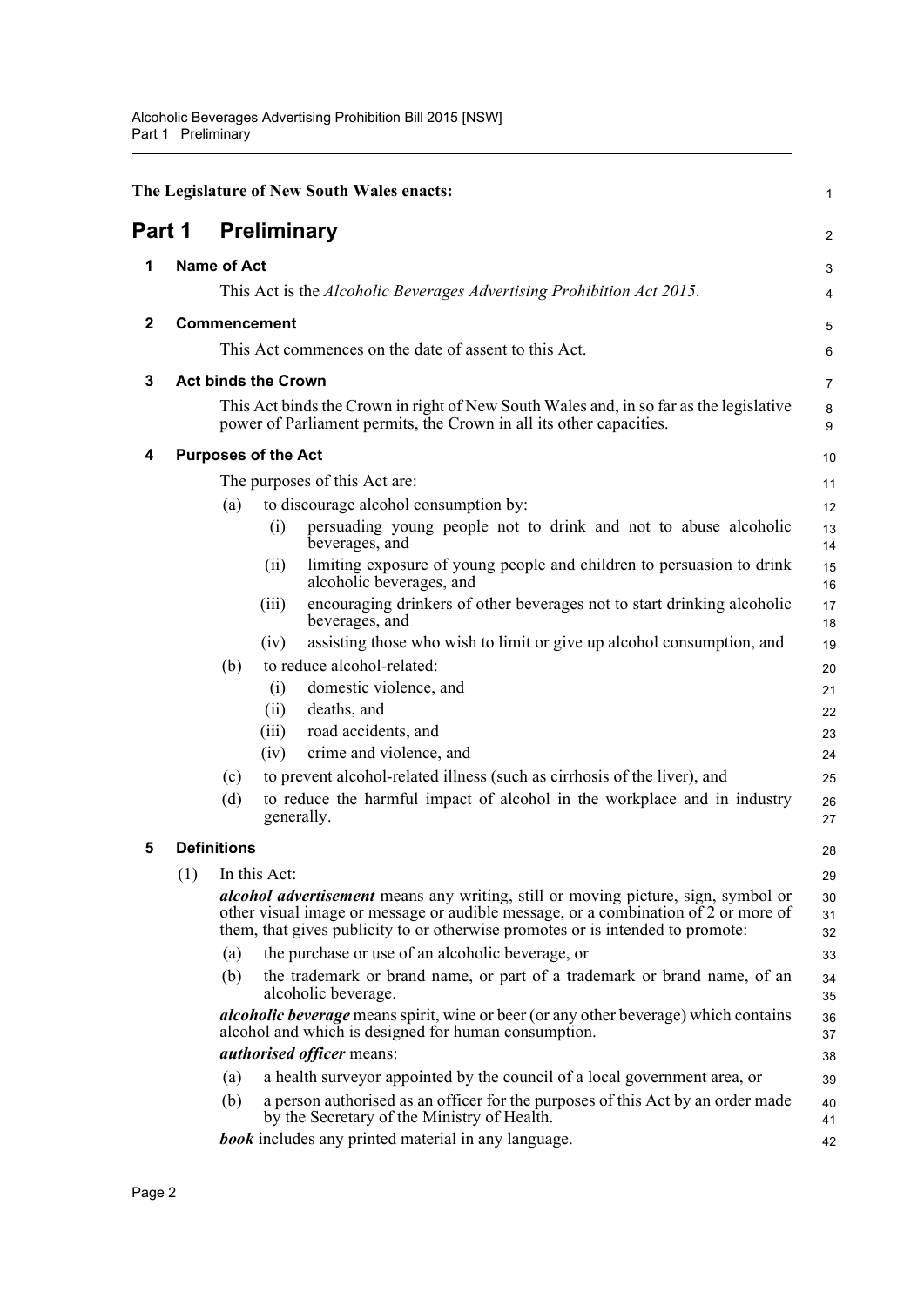<span id="page-7-5"></span><span id="page-7-4"></span><span id="page-7-3"></span><span id="page-7-2"></span><span id="page-7-1"></span><span id="page-7-0"></span>

|        |     |                    |                               | The Legislature of New South Wales enacts:                                                                                                                                                                                                                       | $\mathbf{1}$   |
|--------|-----|--------------------|-------------------------------|------------------------------------------------------------------------------------------------------------------------------------------------------------------------------------------------------------------------------------------------------------------|----------------|
| Part 1 |     |                    |                               | <b>Preliminary</b>                                                                                                                                                                                                                                               | 2              |
| 1      |     | <b>Name of Act</b> |                               |                                                                                                                                                                                                                                                                  | 3              |
|        |     |                    |                               | This Act is the <i>Alcoholic Beverages Advertising Prohibition Act 2015</i> .                                                                                                                                                                                    | 4              |
| 2      |     |                    | <b>Commencement</b>           |                                                                                                                                                                                                                                                                  | 5              |
|        |     |                    |                               | This Act commences on the date of assent to this Act.                                                                                                                                                                                                            | 6              |
| 3      |     |                    | <b>Act binds the Crown</b>    |                                                                                                                                                                                                                                                                  | $\overline{7}$ |
|        |     |                    |                               | This Act binds the Crown in right of New South Wales and, in so far as the legislative<br>power of Parliament permits, the Crown in all its other capacities.                                                                                                    | 8<br>9         |
| 4      |     |                    | <b>Purposes of the Act</b>    |                                                                                                                                                                                                                                                                  | 10             |
|        |     |                    |                               | The purposes of this Act are:                                                                                                                                                                                                                                    | 11             |
|        |     | (a)                |                               | to discourage alcohol consumption by:                                                                                                                                                                                                                            | 12             |
|        |     |                    | (i)                           | persuading young people not to drink and not to abuse alcoholic<br>beverages, and                                                                                                                                                                                | 13<br>14       |
|        |     |                    | (ii)                          | limiting exposure of young people and children to persuasion to drink<br>alcoholic beverages, and                                                                                                                                                                | 15<br>16       |
|        |     |                    | (iii)                         | encouraging drinkers of other beverages not to start drinking alcoholic<br>beverages, and                                                                                                                                                                        | 17<br>18       |
|        |     |                    | (iv)                          | assisting those who wish to limit or give up alcohol consumption, and                                                                                                                                                                                            | 19             |
|        |     | (b)                |                               | to reduce alcohol-related:                                                                                                                                                                                                                                       | 20             |
|        |     |                    | (i)                           | domestic violence, and                                                                                                                                                                                                                                           | 21             |
|        |     |                    | (ii)                          | deaths, and                                                                                                                                                                                                                                                      | 22             |
|        |     |                    |                               |                                                                                                                                                                                                                                                                  | 23             |
|        |     |                    |                               |                                                                                                                                                                                                                                                                  | 24             |
|        |     | (c)                |                               | to prevent alcohol-related illness (such as cirrhosis of the liver), and                                                                                                                                                                                         | 25             |
|        |     | (d)                |                               | to reduce the harmful impact of alcohol in the workplace and in industry<br>generally.                                                                                                                                                                           | 26<br>27       |
| 5      |     | <b>Definitions</b> |                               |                                                                                                                                                                                                                                                                  | 28             |
|        |     |                    |                               |                                                                                                                                                                                                                                                                  |                |
|        |     |                    |                               | <i>alcohol advertisement</i> means any writing, still or moving picture, sign, symbol or<br>other visual image or message or audible message, or a combination of 2 or more of<br>them, that gives publicity to or otherwise promotes or is intended to promote: | 30<br>31<br>32 |
|        |     | (a)                |                               | the purchase or use of an alcoholic beverage, or                                                                                                                                                                                                                 | 33             |
|        |     | (b)                |                               | the trademark or brand name, or part of a trademark or brand name, of an<br>alcoholic beverage.                                                                                                                                                                  | 34<br>35       |
|        |     |                    |                               | <i>alcoholic beverage</i> means spirit, wine or beer (or any other beverage) which contains<br>alcohol and which is designed for human consumption.                                                                                                              | 36<br>37       |
|        |     |                    |                               | <i>authorised officer means:</i>                                                                                                                                                                                                                                 | 38             |
|        |     | (a)                |                               | a health surveyor appointed by the council of a local government area, or                                                                                                                                                                                        | 39             |
|        |     | (b)                |                               | a person authorised as an officer for the purposes of this Act by an order made<br>by the Secretary of the Ministry of Health.                                                                                                                                   | 40<br>41       |
|        |     |                    |                               | <b>book</b> includes any printed material in any language.                                                                                                                                                                                                       | 42             |
|        | (1) |                    | (iii)<br>(iv)<br>In this Act: | road accidents, and<br>crime and violence, and                                                                                                                                                                                                                   | 29             |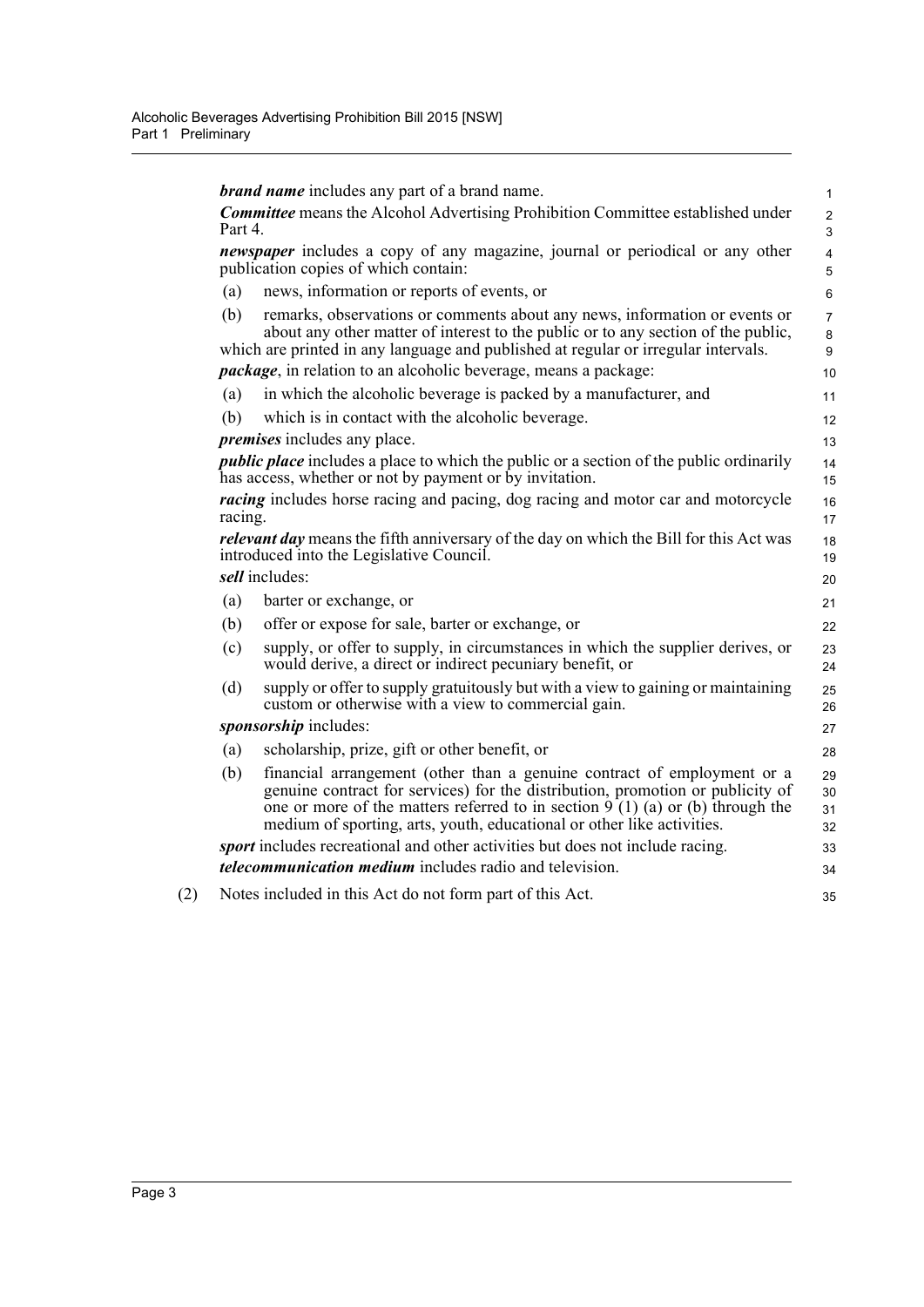|         | <b>brand name</b> includes any part of a brand name.                                                                                                                                                                                                                                                                   | $\mathbf{1}$             |
|---------|------------------------------------------------------------------------------------------------------------------------------------------------------------------------------------------------------------------------------------------------------------------------------------------------------------------------|--------------------------|
|         | <b>Committee</b> means the Alcohol Advertising Prohibition Committee established under                                                                                                                                                                                                                                 | 2                        |
| Part 4. |                                                                                                                                                                                                                                                                                                                        | 3                        |
|         | <i>newspaper</i> includes a copy of any magazine, journal or periodical or any other<br>publication copies of which contain:                                                                                                                                                                                           | 4<br>5                   |
| (a)     | news, information or reports of events, or                                                                                                                                                                                                                                                                             | 6                        |
| (b)     | remarks, observations or comments about any news, information or events or<br>about any other matter of interest to the public or to any section of the public,<br>which are printed in any language and published at regular or irregular intervals.                                                                  | $\overline{7}$<br>8<br>9 |
|         | <i>package</i> , in relation to an alcoholic beverage, means a package:                                                                                                                                                                                                                                                | 10                       |
| (a)     | in which the alcoholic beverage is packed by a manufacturer, and                                                                                                                                                                                                                                                       | 11                       |
| (b)     | which is in contact with the alcoholic beverage.                                                                                                                                                                                                                                                                       | 12                       |
|         | <i>premises</i> includes any place.                                                                                                                                                                                                                                                                                    | 13                       |
|         | <i>public place</i> includes a place to which the public or a section of the public ordinarily<br>has access, whether or not by payment or by invitation.                                                                                                                                                              | 14<br>15                 |
| racing. | <i>racing</i> includes horse racing and pacing, dog racing and motor car and motorcycle                                                                                                                                                                                                                                | 16<br>17                 |
|         | <i>relevant day</i> means the fifth anniversary of the day on which the Bill for this Act was<br>introduced into the Legislative Council.                                                                                                                                                                              | 18<br>19                 |
|         | sell includes:                                                                                                                                                                                                                                                                                                         | 20                       |
| (a)     | barter or exchange, or                                                                                                                                                                                                                                                                                                 | 21                       |
| (b)     | offer or expose for sale, barter or exchange, or                                                                                                                                                                                                                                                                       | 22                       |
| (c)     | supply, or offer to supply, in circumstances in which the supplier derives, or<br>would derive, a direct or indirect pecuniary benefit, or                                                                                                                                                                             | 23<br>24                 |
| (d)     | supply or offer to supply gratuitously but with a view to gaining or maintaining<br>custom or otherwise with a view to commercial gain.                                                                                                                                                                                | 25<br>26                 |
|         | sponsorship includes:                                                                                                                                                                                                                                                                                                  | 27                       |
| (a)     | scholarship, prize, gift or other benefit, or                                                                                                                                                                                                                                                                          | 28                       |
| (b)     | financial arrangement (other than a genuine contract of employment or a<br>genuine contract for services) for the distribution, promotion or publicity of<br>one or more of the matters referred to in section $9(1)$ (a) or (b) through the<br>medium of sporting, arts, youth, educational or other like activities. | 29<br>30<br>31<br>32     |
|         | sport includes recreational and other activities but does not include racing.                                                                                                                                                                                                                                          | 33                       |
|         | <i>telecommunication medium</i> includes radio and television.                                                                                                                                                                                                                                                         | 34                       |
|         | Notes included in this Act do not form part of this Act.                                                                                                                                                                                                                                                               | 35                       |
|         |                                                                                                                                                                                                                                                                                                                        |                          |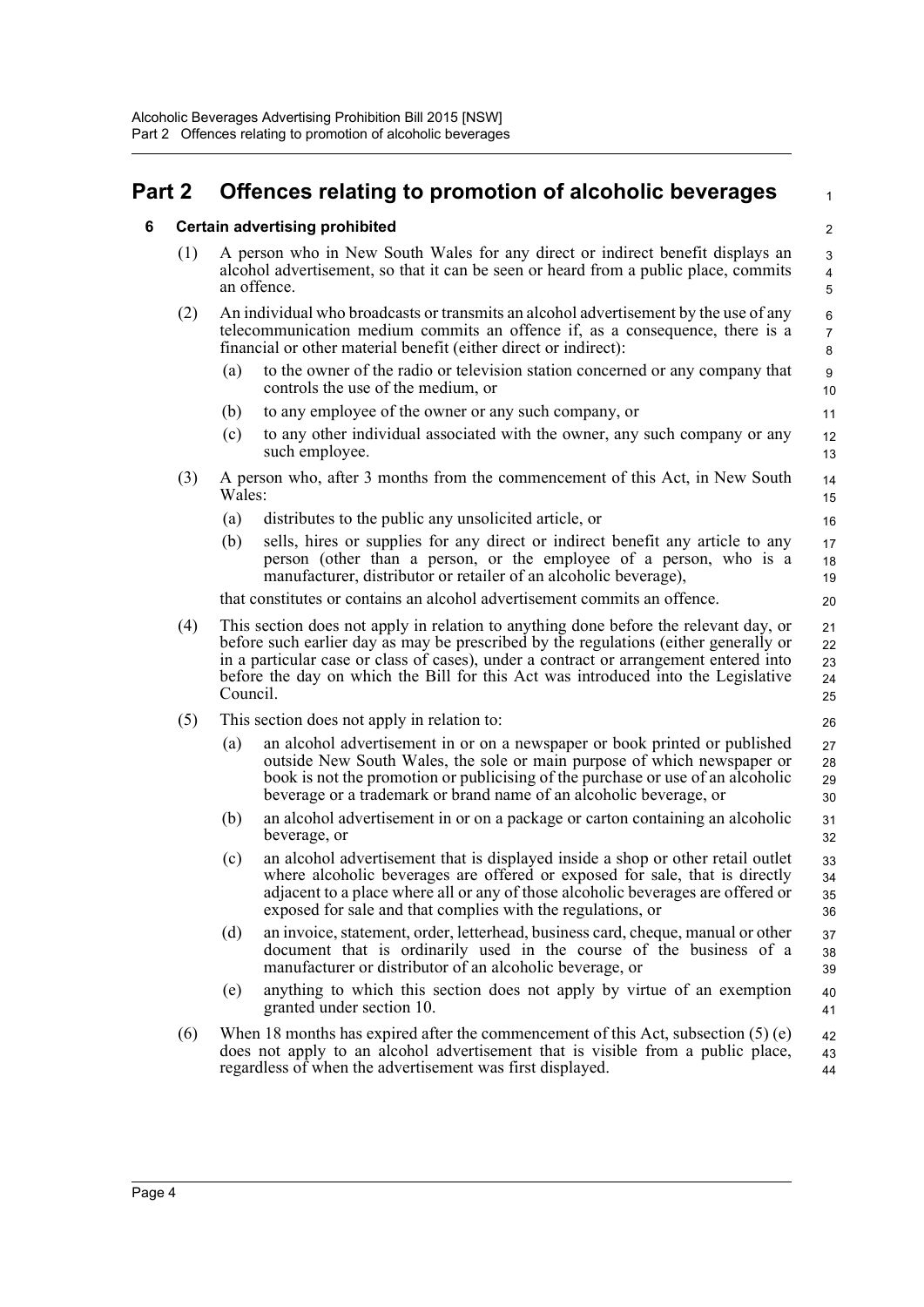## <span id="page-9-1"></span><span id="page-9-0"></span>**Part 2 Offences relating to promotion of alcoholic beverages**

2

1

26

31 32

## **6 Certain advertising prohibited** (1) A person who in New South Wales for any direct or indirect benefit displays an alcohol advertisement, so that it can be seen or heard from a public place, commits

- an offence. (2) An individual who broadcasts or transmits an alcohol advertisement by the use of any telecommunication medium commits an offence if, as a consequence, there is a financial or other material benefit (either direct or indirect):
	- (a) to the owner of the radio or television station concerned or any company that controls the use of the medium, or
	- (b) to any employee of the owner or any such company, or
	- (c) to any other individual associated with the owner, any such company or any such employee.
- (3) A person who, after 3 months from the commencement of this Act, in New South Wales:
	- (a) distributes to the public any unsolicited article, or
	- (b) sells, hires or supplies for any direct or indirect benefit any article to any person (other than a person, or the employee of a person, who is a manufacturer, distributor or retailer of an alcoholic beverage),

that constitutes or contains an alcohol advertisement commits an offence.

- (4) This section does not apply in relation to anything done before the relevant day, or before such earlier day as may be prescribed by the regulations (either generally or in a particular case or class of cases), under a contract or arrangement entered into before the day on which the Bill for this Act was introduced into the Legislative Council. 21 22 23 24 25
- (5) This section does not apply in relation to:
	- (a) an alcohol advertisement in or on a newspaper or book printed or published outside New South Wales, the sole or main purpose of which newspaper or book is not the promotion or publicising of the purchase or use of an alcoholic beverage or a trademark or brand name of an alcoholic beverage, or 27 28 29 30
	- (b) an alcohol advertisement in or on a package or carton containing an alcoholic beverage, or
	- (c) an alcohol advertisement that is displayed inside a shop or other retail outlet where alcoholic beverages are offered or exposed for sale, that is directly adjacent to a place where all or any of those alcoholic beverages are offered or exposed for sale and that complies with the regulations, or 33 34 35 36
	- (d) an invoice, statement, order, letterhead, business card, cheque, manual or other document that is ordinarily used in the course of the business of a manufacturer or distributor of an alcoholic beverage, or 37 38 39
	- (e) anything to which this section does not apply by virtue of an exemption granted under section 10. 40 41
- (6) When 18 months has expired after the commencement of this Act, subsection  $(5)$  (e) does not apply to an alcohol advertisement that is visible from a public place, regardless of when the advertisement was first displayed. 42 43 44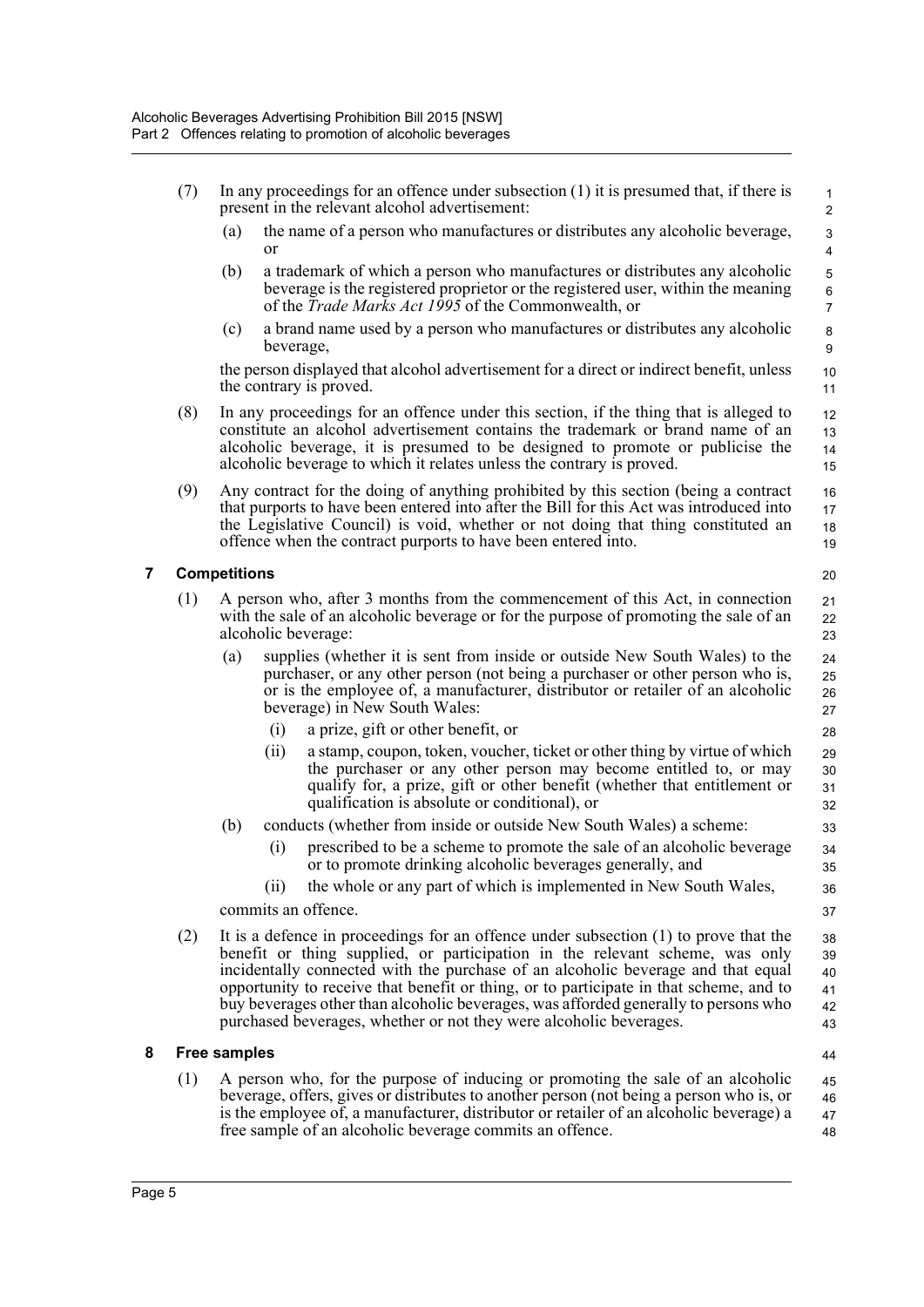<span id="page-10-0"></span>

|   | (7) |                     |           | In any proceedings for an offence under subsection $(1)$ it is presumed that, if there is<br>present in the relevant alcohol advertisement:                                                                                                                                                                                                                                                                                                                                                                     | $\mathbf{1}$<br>$\overline{2}$           |
|---|-----|---------------------|-----------|-----------------------------------------------------------------------------------------------------------------------------------------------------------------------------------------------------------------------------------------------------------------------------------------------------------------------------------------------------------------------------------------------------------------------------------------------------------------------------------------------------------------|------------------------------------------|
|   |     | (a)                 | or        | the name of a person who manufactures or distributes any alcoholic beverage,                                                                                                                                                                                                                                                                                                                                                                                                                                    | 3<br>$\overline{4}$                      |
|   |     | (b)                 |           | a trademark of which a person who manufactures or distributes any alcoholic<br>beverage is the registered proprietor or the registered user, within the meaning<br>of the <i>Trade Marks Act 1995</i> of the Commonwealth, or                                                                                                                                                                                                                                                                                   | $\mathbf 5$<br>$\,6\,$<br>$\overline{7}$ |
|   |     | (c)                 | beverage, | a brand name used by a person who manufactures or distributes any alcoholic                                                                                                                                                                                                                                                                                                                                                                                                                                     | $\bf8$<br>9                              |
|   |     |                     |           | the person displayed that alcohol advertisement for a direct or indirect benefit, unless<br>the contrary is proved.                                                                                                                                                                                                                                                                                                                                                                                             | 10<br>11                                 |
|   | (8) |                     |           | In any proceedings for an offence under this section, if the thing that is alleged to<br>constitute an alcohol advertisement contains the trademark or brand name of an<br>alcoholic beverage, it is presumed to be designed to promote or publicise the<br>alcoholic beverage to which it relates unless the contrary is proved.                                                                                                                                                                               | 12<br>13<br>14<br>15                     |
|   | (9) |                     |           | Any contract for the doing of anything prohibited by this section (being a contract<br>that purports to have been entered into after the Bill for this Act was introduced into<br>the Legislative Council) is void, whether or not doing that thing constituted an<br>offence when the contract purports to have been entered into.                                                                                                                                                                             | 16<br>17<br>18<br>19                     |
| 7 |     | <b>Competitions</b> |           |                                                                                                                                                                                                                                                                                                                                                                                                                                                                                                                 | 20                                       |
|   | (1) |                     |           | A person who, after 3 months from the commencement of this Act, in connection<br>with the sale of an alcoholic beverage or for the purpose of promoting the sale of an<br>alcoholic beverage:                                                                                                                                                                                                                                                                                                                   | 21<br>22<br>23                           |
|   |     | (a)                 |           | supplies (whether it is sent from inside or outside New South Wales) to the<br>purchaser, or any other person (not being a purchaser or other person who is,<br>or is the employee of, a manufacturer, distributor or retailer of an alcoholic<br>beverage) in New South Wales:                                                                                                                                                                                                                                 | 24<br>25<br>26<br>27                     |
|   |     |                     | (i)       | a prize, gift or other benefit, or                                                                                                                                                                                                                                                                                                                                                                                                                                                                              | 28                                       |
|   |     |                     | (ii)      | a stamp, coupon, token, voucher, ticket or other thing by virtue of which<br>the purchaser or any other person may become entitled to, or may<br>qualify for, a prize, gift or other benefit (whether that entitlement or<br>qualification is absolute or conditional), or                                                                                                                                                                                                                                      | 29<br>30<br>31<br>32                     |
|   |     | (b)                 |           | conducts (whether from inside or outside New South Wales) a scheme:                                                                                                                                                                                                                                                                                                                                                                                                                                             | 33                                       |
|   |     |                     | (i)       | prescribed to be a scheme to promote the sale of an alcoholic beverage<br>or to promote drinking alcoholic beverages generally, and                                                                                                                                                                                                                                                                                                                                                                             | 34<br>35                                 |
|   |     |                     | (i)       | the whole or any part of which is implemented in New South Wales,                                                                                                                                                                                                                                                                                                                                                                                                                                               | 36                                       |
|   |     |                     |           | commits an offence.                                                                                                                                                                                                                                                                                                                                                                                                                                                                                             | 37                                       |
|   | (2) |                     |           | It is a defence in proceedings for an offence under subsection (1) to prove that the<br>benefit or thing supplied, or participation in the relevant scheme, was only<br>incidentally connected with the purchase of an alcoholic beverage and that equal<br>opportunity to receive that benefit or thing, or to participate in that scheme, and to<br>buy beverages other than alcoholic beverages, was afforded generally to persons who<br>purchased beverages, whether or not they were alcoholic beverages. | 38<br>39<br>40<br>41<br>42<br>43         |
| 8 |     | <b>Free samples</b> |           |                                                                                                                                                                                                                                                                                                                                                                                                                                                                                                                 | 44                                       |
|   | (1) |                     |           | A person who, for the purpose of inducing or promoting the sale of an alcoholic<br>beverage, offers, gives or distributes to another person (not being a person who is, or<br>is the employee of, a manufacturer, distributor or retailer of an alcoholic beverage) a                                                                                                                                                                                                                                           | 45<br>46<br>47                           |

<span id="page-10-1"></span>free sample of an alcoholic beverage commits an offence.

48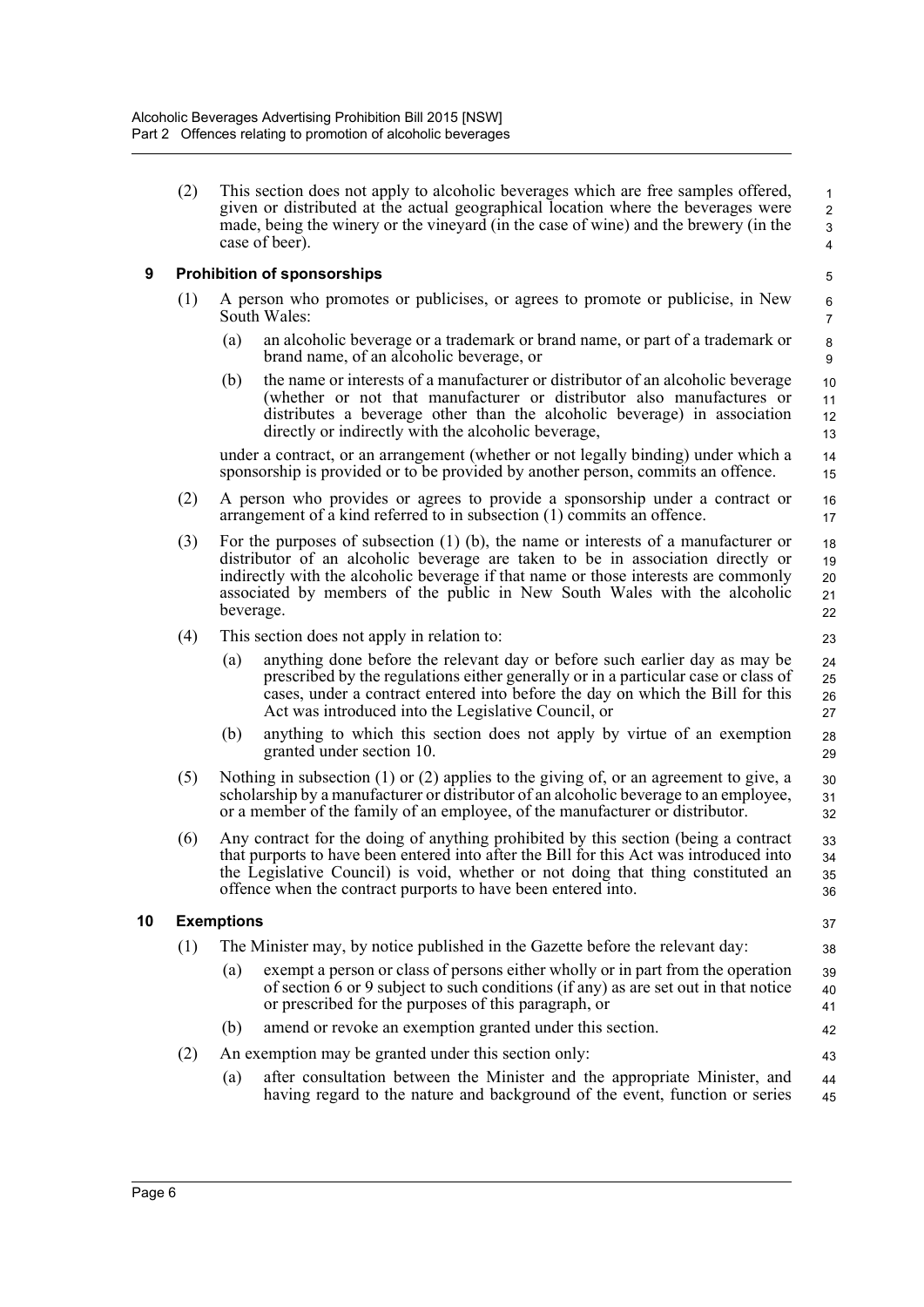(2) This section does not apply to alcoholic beverages which are free samples offered, given or distributed at the actual geographical location where the beverages were made, being the winery or the vineyard (in the case of wine) and the brewery (in the case of beer).

37 38

42 43

## <span id="page-11-0"></span>**9 Prohibition of sponsorships**

- (1) A person who promotes or publicises, or agrees to promote or publicise, in New South Wales:
	- (a) an alcoholic beverage or a trademark or brand name, or part of a trademark or brand name, of an alcoholic beverage, or
	- (b) the name or interests of a manufacturer or distributor of an alcoholic beverage (whether or not that manufacturer or distributor also manufactures or distributes a beverage other than the alcoholic beverage) in association directly or indirectly with the alcoholic beverage,

under a contract, or an arrangement (whether or not legally binding) under which a sponsorship is provided or to be provided by another person, commits an offence.

- (2) A person who provides or agrees to provide a sponsorship under a contract or arrangement of a kind referred to in subsection (1) commits an offence.
- (3) For the purposes of subsection (1) (b), the name or interests of a manufacturer or distributor of an alcoholic beverage are taken to be in association directly or indirectly with the alcoholic beverage if that name or those interests are commonly associated by members of the public in New South Wales with the alcoholic beverage. 18 19 20 21 22
- (4) This section does not apply in relation to:
	- (a) anything done before the relevant day or before such earlier day as may be prescribed by the regulations either generally or in a particular case or class of cases, under a contract entered into before the day on which the Bill for this Act was introduced into the Legislative Council, or
	- (b) anything to which this section does not apply by virtue of an exemption granted under section 10.
- (5) Nothing in subsection (1) or (2) applies to the giving of, or an agreement to give, a scholarship by a manufacturer or distributor of an alcoholic beverage to an employee, or a member of the family of an employee, of the manufacturer or distributor. 30 31 32
- (6) Any contract for the doing of anything prohibited by this section (being a contract that purports to have been entered into after the Bill for this Act was introduced into the Legislative Council) is void, whether or not doing that thing constituted an offence when the contract purports to have been entered into. 33 34 35 36

## <span id="page-11-1"></span>**10 Exemptions**

- (1) The Minister may, by notice published in the Gazette before the relevant day:
	- (a) exempt a person or class of persons either wholly or in part from the operation of section 6 or 9 subject to such conditions (if any) as are set out in that notice or prescribed for the purposes of this paragraph, or 39  $40$ 41
	- (b) amend or revoke an exemption granted under this section.
- (2) An exemption may be granted under this section only:
	- (a) after consultation between the Minister and the appropriate Minister, and having regard to the nature and background of the event, function or series 44 45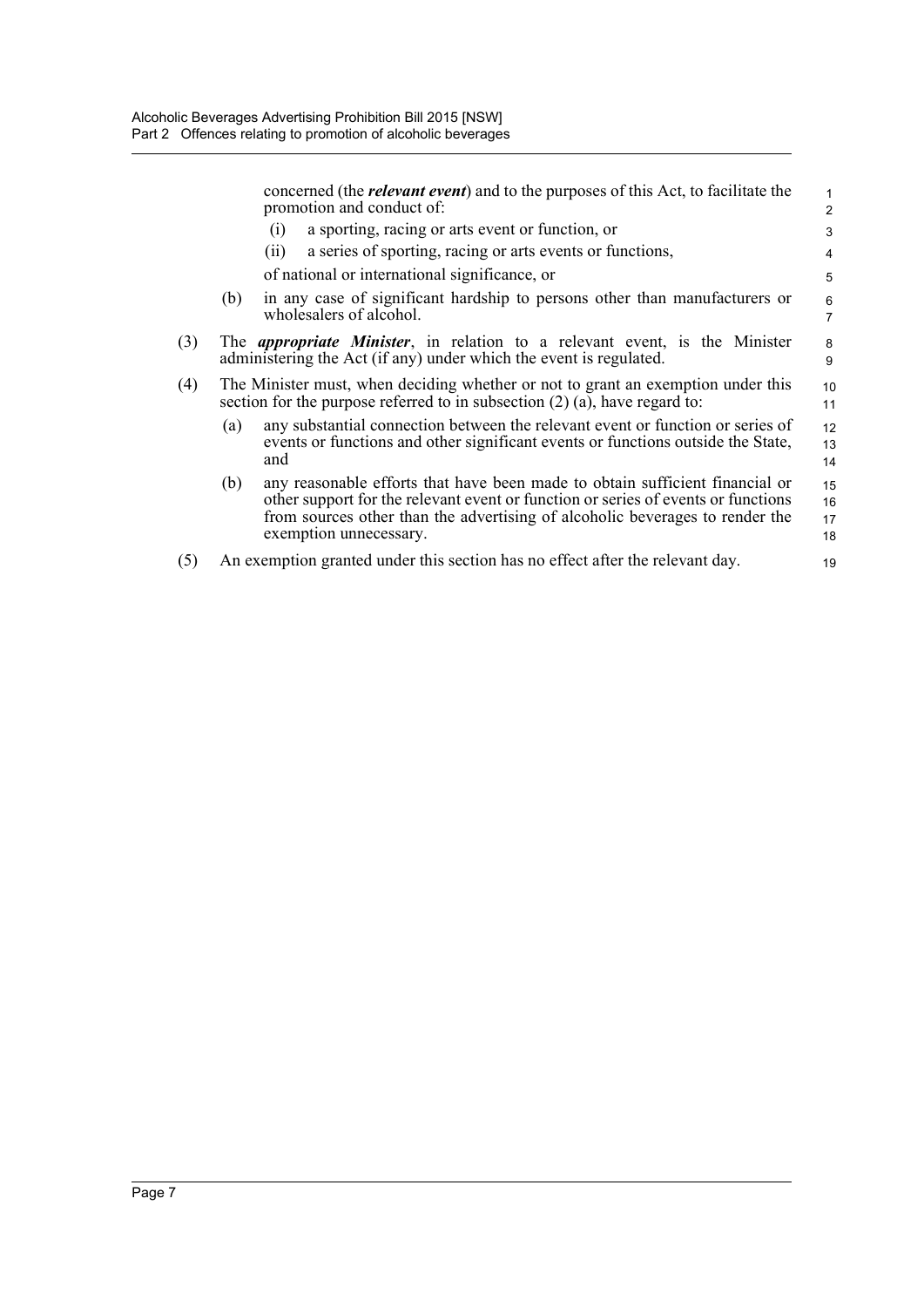|     |     | concerned (the <i>relevant event</i> ) and to the purposes of this Act, to facilitate the<br>promotion and conduct of:                                                                                                                                                      | 1<br>2               |
|-----|-----|-----------------------------------------------------------------------------------------------------------------------------------------------------------------------------------------------------------------------------------------------------------------------------|----------------------|
|     |     | a sporting, racing or arts event or function, or<br>(1)                                                                                                                                                                                                                     | 3                    |
|     |     | a series of sporting, racing or arts events or functions,<br>(11)                                                                                                                                                                                                           | 4                    |
|     |     | of national or international significance, or                                                                                                                                                                                                                               | 5                    |
|     | (b) | in any case of significant hardship to persons other than manufacturers or<br>wholesalers of alcohol.                                                                                                                                                                       | 6<br>$\overline{7}$  |
| (3) |     | The <i>appropriate Minister</i> , in relation to a relevant event, is the Minister<br>administering the Act (if any) under which the event is regulated.                                                                                                                    | 8<br>9               |
| (4) |     | The Minister must, when deciding whether or not to grant an exemption under this<br>section for the purpose referred to in subsection $(2)$ $(a)$ , have regard to:                                                                                                         | 10<br>11             |
|     | (a) | any substantial connection between the relevant event or function or series of<br>events or functions and other significant events or functions outside the State,<br>and                                                                                                   | 12<br>13<br>14       |
|     | (b) | any reasonable efforts that have been made to obtain sufficient financial or<br>other support for the relevant event or function or series of events or functions<br>from sources other than the advertising of alcoholic beverages to render the<br>exemption unnecessary. | 15<br>16<br>17<br>18 |
| (5) |     | An exemption granted under this section has no effect after the relevant day.                                                                                                                                                                                               | 19                   |
|     |     |                                                                                                                                                                                                                                                                             |                      |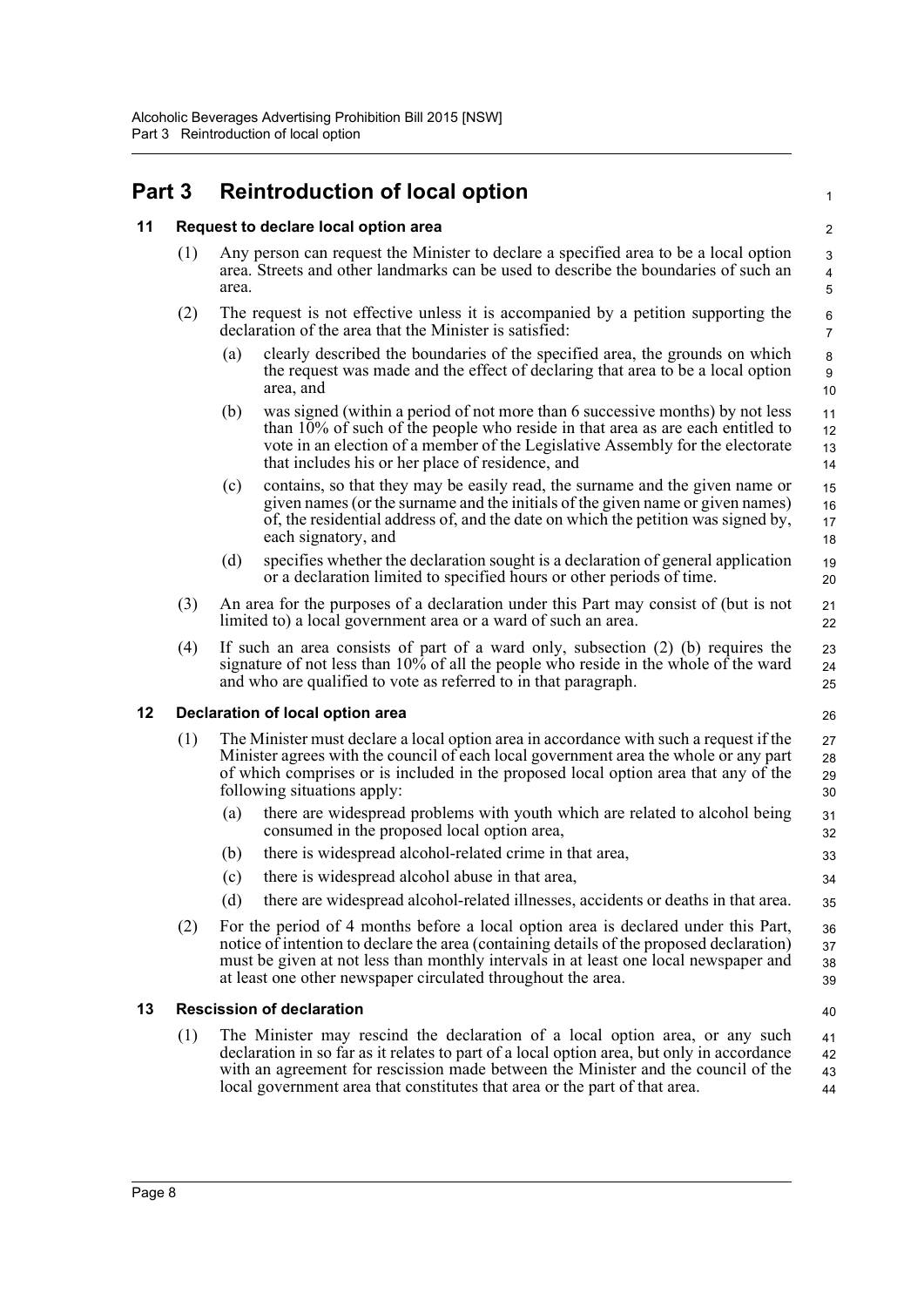## <span id="page-13-0"></span>**Part 3 Reintroduction of local option**

## <span id="page-13-1"></span>**11 Request to declare local option area**

- (1) Any person can request the Minister to declare a specified area to be a local option area. Streets and other landmarks can be used to describe the boundaries of such an area.
- (2) The request is not effective unless it is accompanied by a petition supporting the declaration of the area that the Minister is satisfied:
	- (a) clearly described the boundaries of the specified area, the grounds on which the request was made and the effect of declaring that area to be a local option area, and

1

40

- (b) was signed (within a period of not more than 6 successive months) by not less than 10% of such of the people who reside in that area as are each entitled to vote in an election of a member of the Legislative Assembly for the electorate that includes his or her place of residence, and
- (c) contains, so that they may be easily read, the surname and the given name or given names (or the surname and the initials of the given name or given names) of, the residential address of, and the date on which the petition was signed by, each signatory, and 15 16 17 18
- (d) specifies whether the declaration sought is a declaration of general application or a declaration limited to specified hours or other periods of time. 19 20
- (3) An area for the purposes of a declaration under this Part may consist of (but is not limited to) a local government area or a ward of such an area.
- (4) If such an area consists of part of a ward only, subsection (2) (b) requires the signature of not less than 10% of all the people who reside in the whole of the ward and who are qualified to vote as referred to in that paragraph.

## <span id="page-13-2"></span>**12 Declaration of local option area**

- (1) The Minister must declare a local option area in accordance with such a request if the Minister agrees with the council of each local government area the whole or any part of which comprises or is included in the proposed local option area that any of the following situations apply: 27 28
	- (a) there are widespread problems with youth which are related to alcohol being consumed in the proposed local option area,
	- (b) there is widespread alcohol-related crime in that area,
	- (c) there is widespread alcohol abuse in that area,
	- (d) there are widespread alcohol-related illnesses, accidents or deaths in that area.
- (2) For the period of 4 months before a local option area is declared under this Part, notice of intention to declare the area (containing details of the proposed declaration) must be given at not less than monthly intervals in at least one local newspaper and at least one other newspaper circulated throughout the area. 36 37 38 39

### <span id="page-13-3"></span>**13 Rescission of declaration**

(1) The Minister may rescind the declaration of a local option area, or any such declaration in so far as it relates to part of a local option area, but only in accordance with an agreement for rescission made between the Minister and the council of the local government area that constitutes that area or the part of that area. 41 42 43 44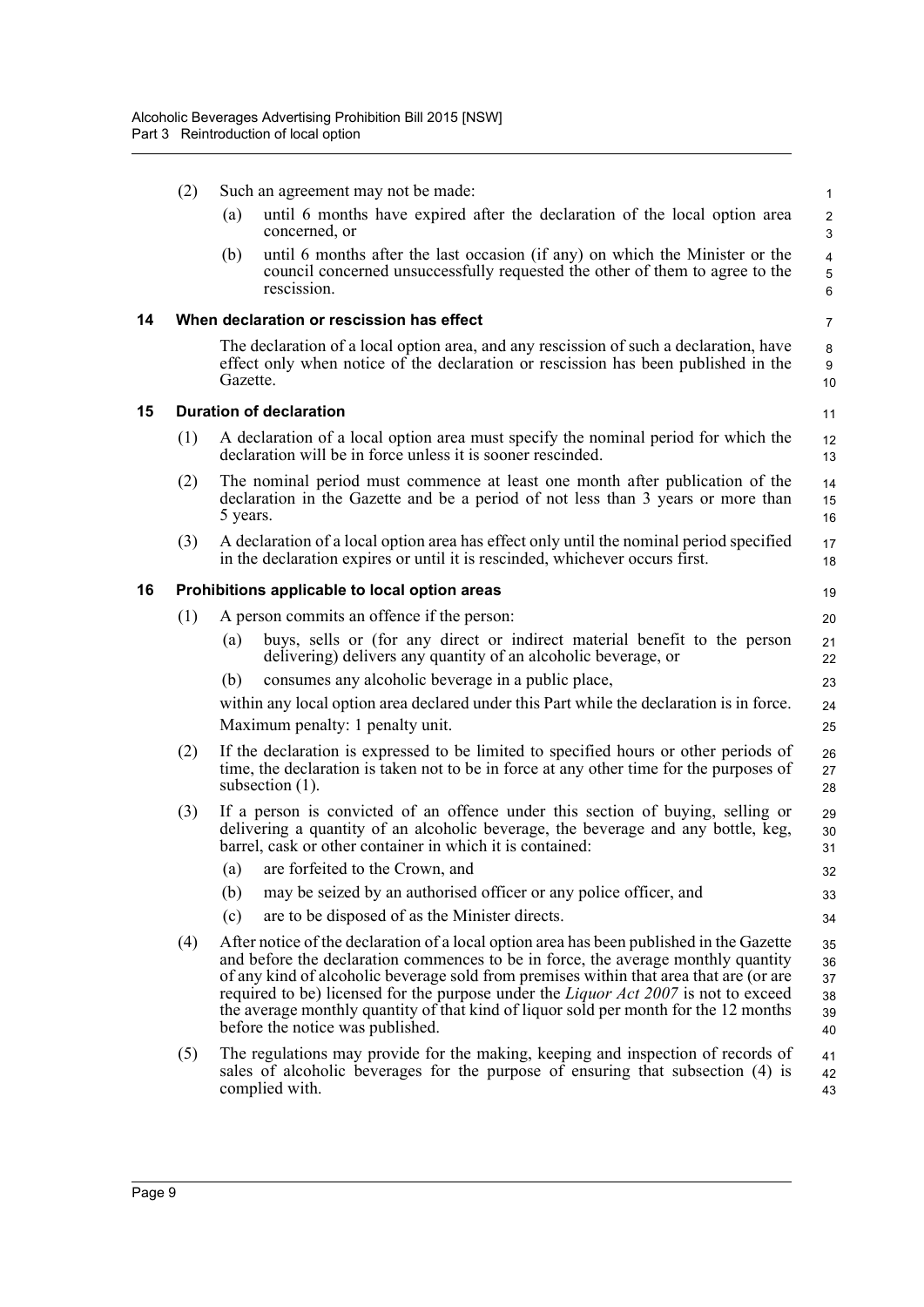<span id="page-14-2"></span><span id="page-14-1"></span><span id="page-14-0"></span>

|    | (2) | Such an agreement may not be made:                                                                                                                                                                                                                                                                                                                                                                                                                                                         | 1                                |
|----|-----|--------------------------------------------------------------------------------------------------------------------------------------------------------------------------------------------------------------------------------------------------------------------------------------------------------------------------------------------------------------------------------------------------------------------------------------------------------------------------------------------|----------------------------------|
|    |     | until 6 months have expired after the declaration of the local option area<br>(a)<br>concerned, or                                                                                                                                                                                                                                                                                                                                                                                         | $\overline{c}$<br>$\mathsf 3$    |
|    |     | until 6 months after the last occasion (if any) on which the Minister or the<br>(b)<br>council concerned unsuccessfully requested the other of them to agree to the<br>rescission.                                                                                                                                                                                                                                                                                                         | $\overline{4}$<br>5<br>$\,6\,$   |
| 14 |     | When declaration or rescission has effect                                                                                                                                                                                                                                                                                                                                                                                                                                                  | $\overline{7}$                   |
|    |     | The declaration of a local option area, and any rescission of such a declaration, have<br>effect only when notice of the declaration or rescission has been published in the<br>Gazette.                                                                                                                                                                                                                                                                                                   | 8<br>9<br>10                     |
| 15 |     | <b>Duration of declaration</b>                                                                                                                                                                                                                                                                                                                                                                                                                                                             | 11                               |
|    | (1) | A declaration of a local option area must specify the nominal period for which the<br>declaration will be in force unless it is sooner rescinded.                                                                                                                                                                                                                                                                                                                                          | 12<br>13                         |
|    | (2) | The nominal period must commence at least one month after publication of the<br>declaration in the Gazette and be a period of not less than 3 years or more than<br>5 years.                                                                                                                                                                                                                                                                                                               | 14<br>15<br>16                   |
|    | (3) | A declaration of a local option area has effect only until the nominal period specified<br>in the declaration expires or until it is rescinded, whichever occurs first.                                                                                                                                                                                                                                                                                                                    | 17<br>18                         |
| 16 |     | Prohibitions applicable to local option areas                                                                                                                                                                                                                                                                                                                                                                                                                                              | 19                               |
|    | (1) | A person commits an offence if the person:                                                                                                                                                                                                                                                                                                                                                                                                                                                 | 20                               |
|    |     | buys, sells or (for any direct or indirect material benefit to the person<br>(a)<br>delivering) delivers any quantity of an alcoholic beverage, or                                                                                                                                                                                                                                                                                                                                         | 21<br>22                         |
|    |     | consumes any alcoholic beverage in a public place,<br>(b)                                                                                                                                                                                                                                                                                                                                                                                                                                  | 23                               |
|    |     | within any local option area declared under this Part while the declaration is in force.<br>Maximum penalty: 1 penalty unit.                                                                                                                                                                                                                                                                                                                                                               | 24<br>25                         |
|    | (2) | If the declaration is expressed to be limited to specified hours or other periods of<br>time, the declaration is taken not to be in force at any other time for the purposes of<br>subsection $(1)$ .                                                                                                                                                                                                                                                                                      | 26<br>27<br>28                   |
|    | (3) | If a person is convicted of an offence under this section of buying, selling or<br>delivering a quantity of an alcoholic beverage, the beverage and any bottle, keg,<br>barrel, cask or other container in which it is contained:                                                                                                                                                                                                                                                          | 29<br>30<br>31                   |
|    |     | are forfeited to the Crown, and<br>(a)                                                                                                                                                                                                                                                                                                                                                                                                                                                     | 32                               |
|    |     | may be seized by an authorised officer or any police officer, and<br>(b)                                                                                                                                                                                                                                                                                                                                                                                                                   | 33                               |
|    |     | are to be disposed of as the Minister directs.<br>(c)                                                                                                                                                                                                                                                                                                                                                                                                                                      | 34                               |
|    | (4) | After notice of the declaration of a local option area has been published in the Gazette<br>and before the declaration commences to be in force, the average monthly quantity<br>of any kind of alcoholic beverage sold from premises within that area that are (or are<br>required to be) licensed for the purpose under the Liquor Act 2007 is not to exceed<br>the average monthly quantity of that kind of liquor sold per month for the 12 months<br>before the notice was published. | 35<br>36<br>37<br>38<br>39<br>40 |
|    | (5) | The regulations may provide for the making, keeping and inspection of records of<br>sales of alcoholic beverages for the purpose of ensuring that subsection (4) is<br>complied with.                                                                                                                                                                                                                                                                                                      | 41<br>42<br>43                   |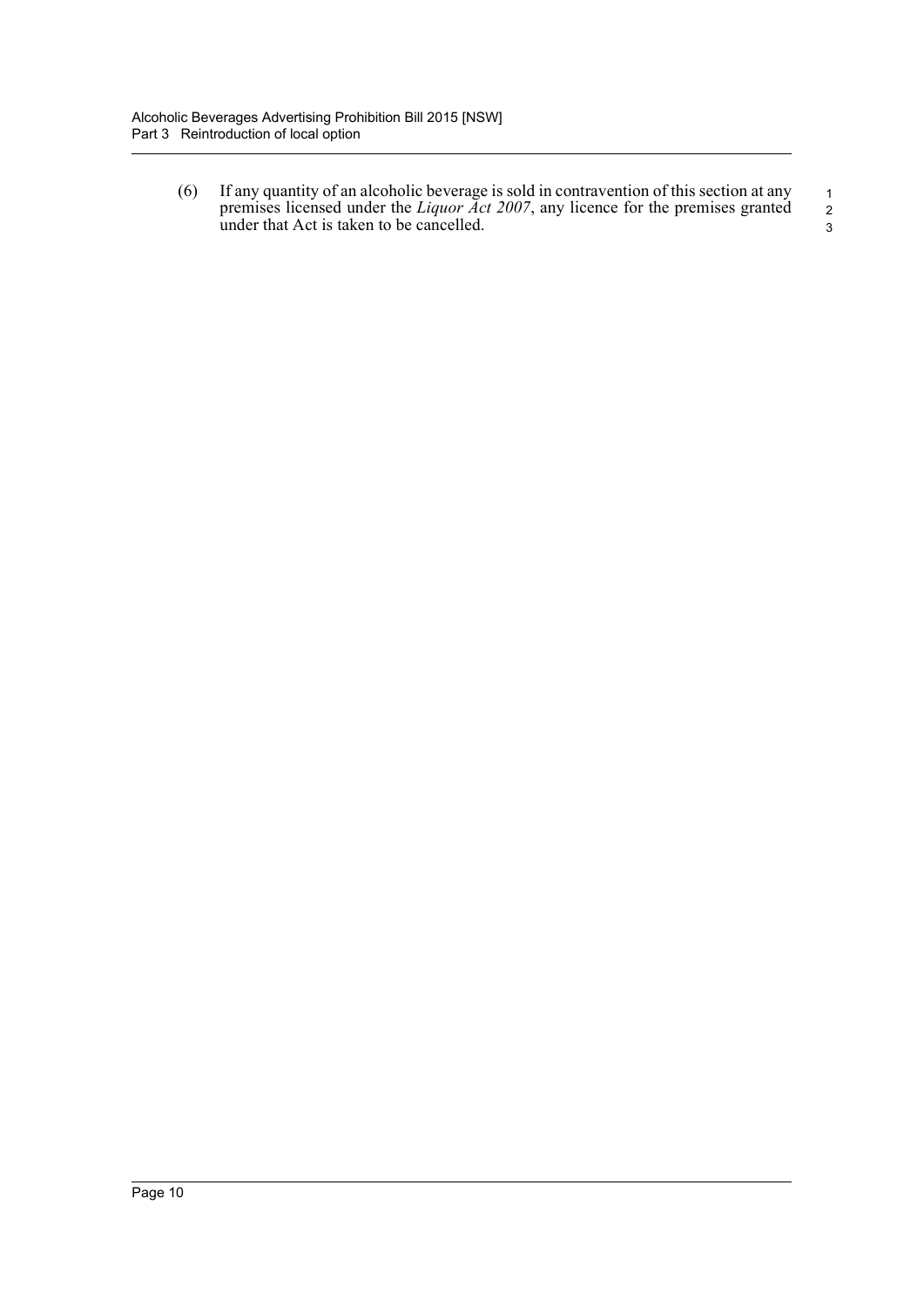(6) If any quantity of an alcoholic beverage is sold in contravention of this section at any premises licensed under the *Liquor Act 2007*, any licence for the premises granted under that Act is taken to be cancelled.

 1 2 3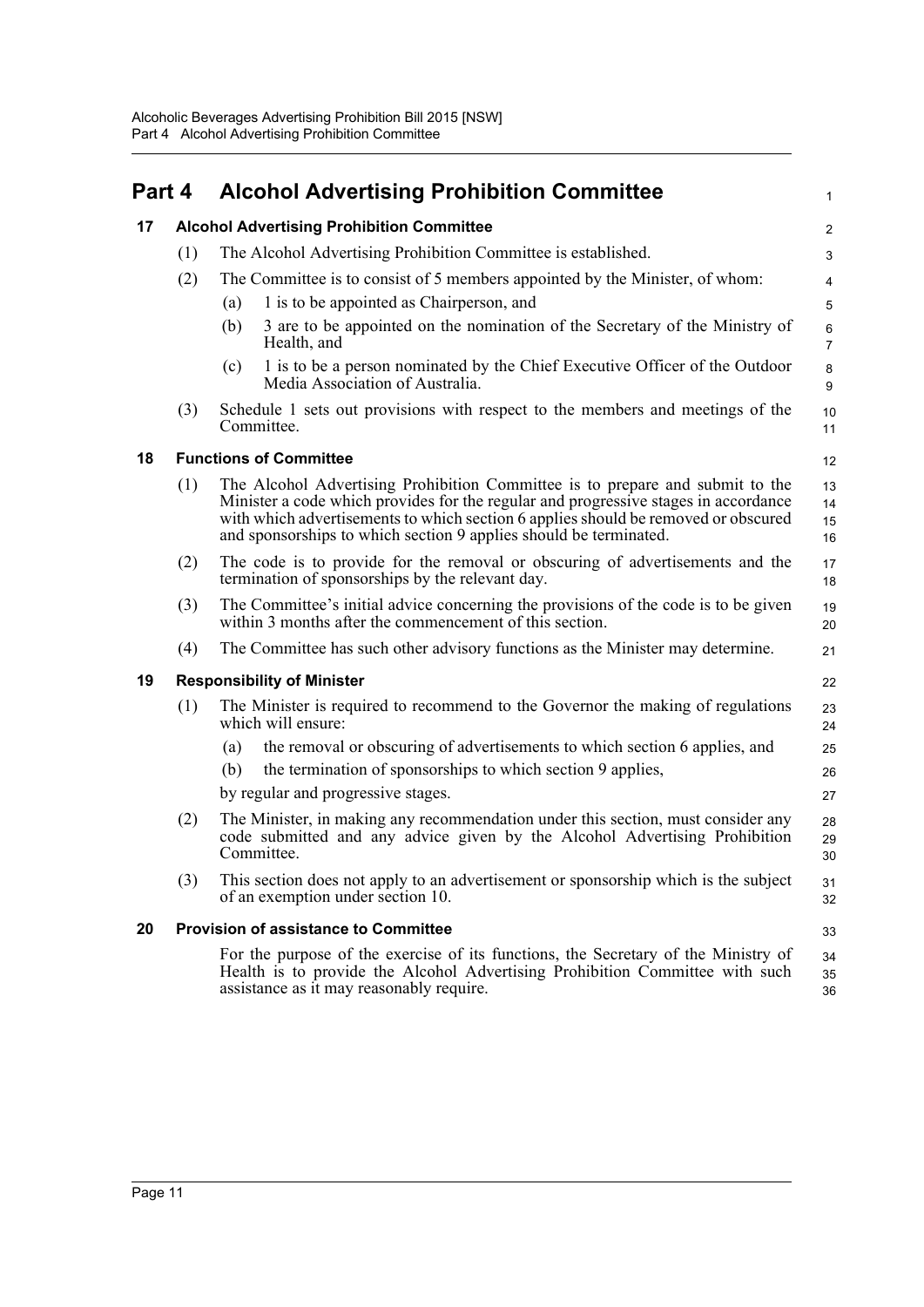<span id="page-16-4"></span><span id="page-16-3"></span><span id="page-16-2"></span><span id="page-16-1"></span><span id="page-16-0"></span>

| Part 4 |     | <b>Alcohol Advertising Prohibition Committee</b>                                                                                                                                                                                                                                                                                | $\mathbf{1}$         |
|--------|-----|---------------------------------------------------------------------------------------------------------------------------------------------------------------------------------------------------------------------------------------------------------------------------------------------------------------------------------|----------------------|
| 17     |     | <b>Alcohol Advertising Prohibition Committee</b>                                                                                                                                                                                                                                                                                | 2                    |
|        | (1) | The Alcohol Advertising Prohibition Committee is established.                                                                                                                                                                                                                                                                   | 3                    |
|        | (2) | The Committee is to consist of 5 members appointed by the Minister, of whom:                                                                                                                                                                                                                                                    | 4                    |
|        |     | 1 is to be appointed as Chairperson, and<br>(a)                                                                                                                                                                                                                                                                                 | 5                    |
|        |     | (b)<br>3 are to be appointed on the nomination of the Secretary of the Ministry of<br>Health, and                                                                                                                                                                                                                               | 6<br>$\overline{7}$  |
|        |     | 1 is to be a person nominated by the Chief Executive Officer of the Outdoor<br>(c)<br>Media Association of Australia.                                                                                                                                                                                                           | 8<br>9               |
|        | (3) | Schedule 1 sets out provisions with respect to the members and meetings of the<br>Committee.                                                                                                                                                                                                                                    | 10<br>11             |
| 18     |     | <b>Functions of Committee</b>                                                                                                                                                                                                                                                                                                   | 12                   |
|        | (1) | The Alcohol Advertising Prohibition Committee is to prepare and submit to the<br>Minister a code which provides for the regular and progressive stages in accordance<br>with which advertisements to which section 6 applies should be removed or obscured<br>and sponsorships to which section 9 applies should be terminated. | 13<br>14<br>15<br>16 |
|        | (2) | The code is to provide for the removal or obscuring of advertisements and the<br>termination of sponsorships by the relevant day.                                                                                                                                                                                               | 17<br>18             |
|        | (3) | The Committee's initial advice concerning the provisions of the code is to be given<br>within 3 months after the commencement of this section.                                                                                                                                                                                  | 19<br>20             |
|        | (4) | The Committee has such other advisory functions as the Minister may determine.                                                                                                                                                                                                                                                  | 21                   |
| 19     |     | <b>Responsibility of Minister</b>                                                                                                                                                                                                                                                                                               | 22                   |
|        | (1) | The Minister is required to recommend to the Governor the making of regulations<br>which will ensure:                                                                                                                                                                                                                           | 23<br>24             |
|        |     | the removal or obscuring of advertisements to which section 6 applies, and<br>(a)                                                                                                                                                                                                                                               | 25                   |
|        |     | the termination of sponsorships to which section 9 applies,<br>(b)                                                                                                                                                                                                                                                              | 26                   |
|        |     | by regular and progressive stages.                                                                                                                                                                                                                                                                                              | 27                   |
|        | (2) | The Minister, in making any recommendation under this section, must consider any<br>code submitted and any advice given by the Alcohol Advertising Prohibition<br>Committee.                                                                                                                                                    | 28<br>29<br>30       |
|        | (3) | This section does not apply to an advertisement or sponsorship which is the subject<br>of an exemption under section 10.                                                                                                                                                                                                        | 31<br>32             |
| 20     |     | <b>Provision of assistance to Committee</b>                                                                                                                                                                                                                                                                                     | 33                   |
|        |     | For the purpose of the exercise of its functions, the Secretary of the Ministry of<br>Health is to provide the Alcohol Advertising Prohibition Committee with such<br>assistance as it may reasonably require.                                                                                                                  | 34<br>35<br>36       |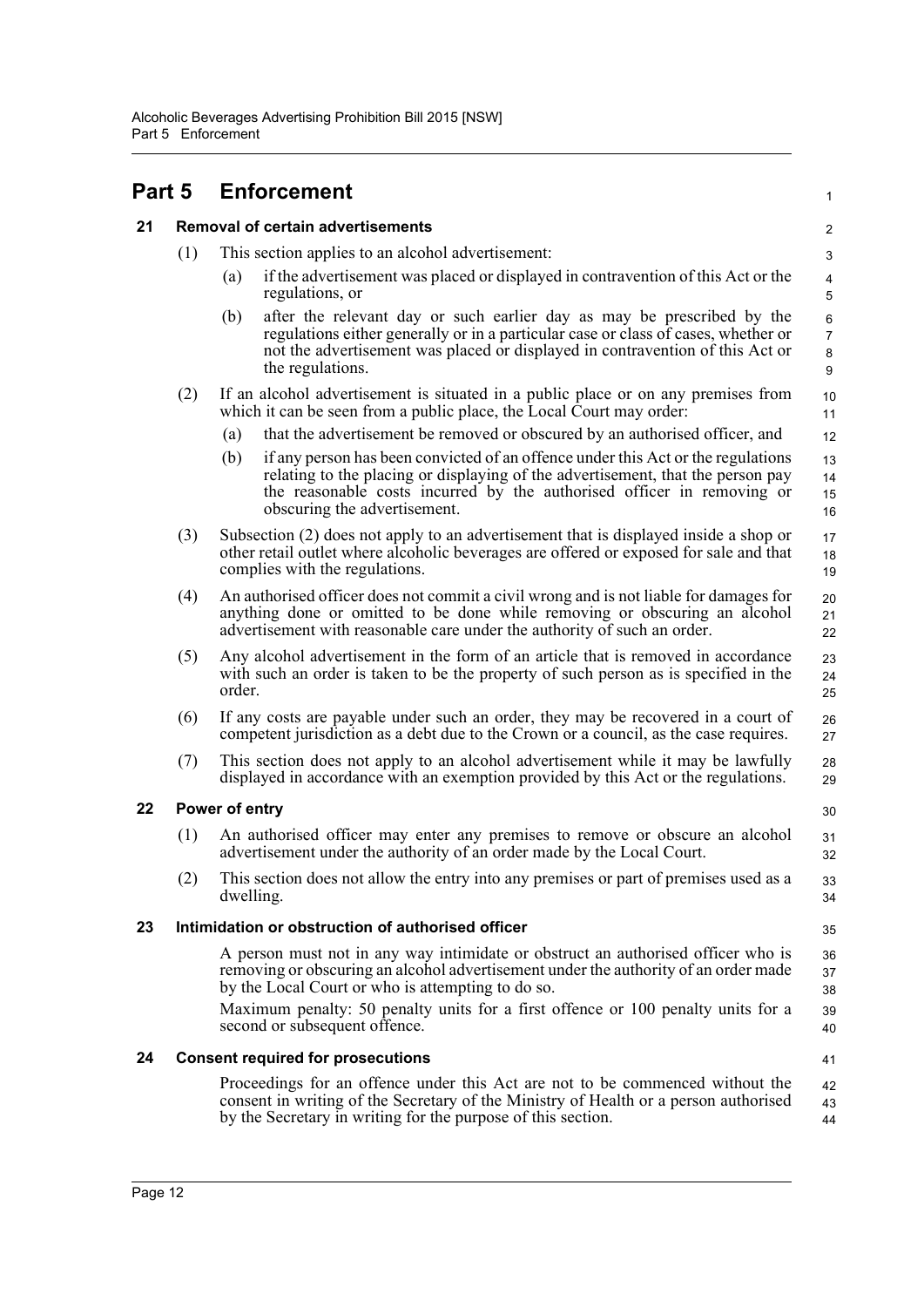<span id="page-17-0"></span>

<span id="page-17-1"></span>

| <b>Removal of certain advertisements</b><br>21 |
|------------------------------------------------|
|------------------------------------------------|

- (1) This section applies to an alcohol advertisement:
	- (a) if the advertisement was placed or displayed in contravention of this Act or the regulations, or

1

35

40 41

- (b) after the relevant day or such earlier day as may be prescribed by the regulations either generally or in a particular case or class of cases, whether or not the advertisement was placed or displayed in contravention of this Act or the regulations.
- (2) If an alcohol advertisement is situated in a public place or on any premises from which it can be seen from a public place, the Local Court may order:
	- (a) that the advertisement be removed or obscured by an authorised officer, and
	- (b) if any person has been convicted of an offence under this Act or the regulations relating to the placing or displaying of the advertisement, that the person pay the reasonable costs incurred by the authorised officer in removing or obscuring the advertisement. 13 14 15 16
- (3) Subsection (2) does not apply to an advertisement that is displayed inside a shop or other retail outlet where alcoholic beverages are offered or exposed for sale and that complies with the regulations. 17 18 19
- (4) An authorised officer does not commit a civil wrong and is not liable for damages for anything done or omitted to be done while removing or obscuring an alcohol advertisement with reasonable care under the authority of such an order.
- (5) Any alcohol advertisement in the form of an article that is removed in accordance with such an order is taken to be the property of such person as is specified in the order.
- (6) If any costs are payable under such an order, they may be recovered in a court of competent jurisdiction as a debt due to the Crown or a council, as the case requires. 26 27
- (7) This section does not apply to an alcohol advertisement while it may be lawfully displayed in accordance with an exemption provided by this Act or the regulations. 28 29

#### <span id="page-17-2"></span>**22 Power of entry**

- (1) An authorised officer may enter any premises to remove or obscure an alcohol advertisement under the authority of an order made by the Local Court.
- (2) This section does not allow the entry into any premises or part of premises used as a dwelling.

## <span id="page-17-3"></span>**23 Intimidation or obstruction of authorised officer**

A person must not in any way intimidate or obstruct an authorised officer who is removing or obscuring an alcohol advertisement under the authority of an order made by the Local Court or who is attempting to do so. 36 37 38 39

Maximum penalty: 50 penalty units for a first offence or 100 penalty units for a second or subsequent offence.

#### <span id="page-17-4"></span>**24 Consent required for prosecutions**

Proceedings for an offence under this Act are not to be commenced without the consent in writing of the Secretary of the Ministry of Health or a person authorised by the Secretary in writing for the purpose of this section. 42 43 44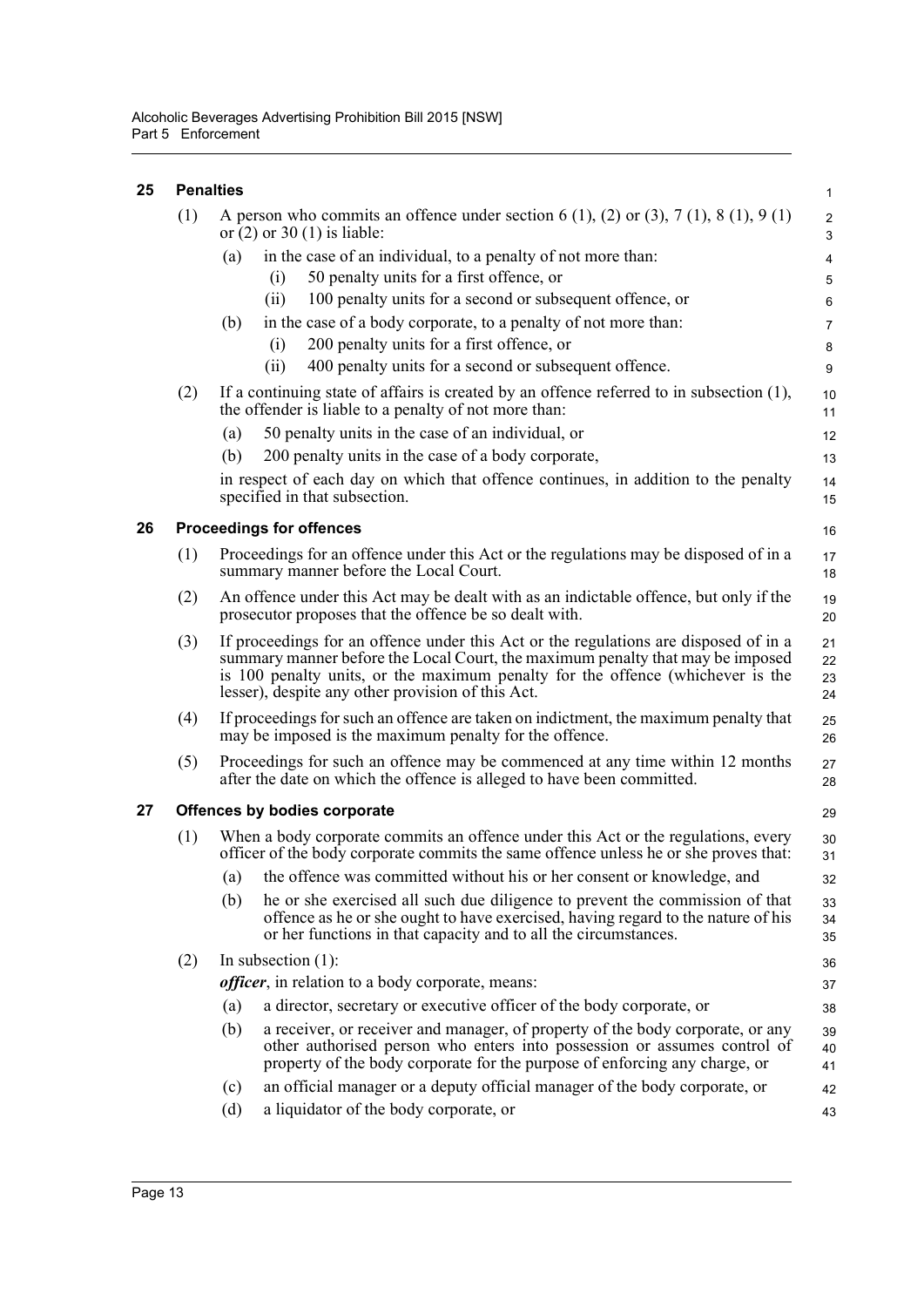<span id="page-18-2"></span><span id="page-18-1"></span><span id="page-18-0"></span>

| 25 |     | <b>Penalties</b>                                                                                                                                                                                                                                                                                              | $\mathbf{1}$              |
|----|-----|---------------------------------------------------------------------------------------------------------------------------------------------------------------------------------------------------------------------------------------------------------------------------------------------------------------|---------------------------|
|    | (1) | A person who commits an offence under section 6 (1), (2) or (3), 7 (1), 8 (1), 9 (1)<br>or $(2)$ or 30 $(1)$ is liable:                                                                                                                                                                                       | $\sqrt{2}$<br>$\mathsf 3$ |
|    |     | in the case of an individual, to a penalty of not more than:<br>(a)                                                                                                                                                                                                                                           | 4                         |
|    |     | 50 penalty units for a first offence, or<br>(i)                                                                                                                                                                                                                                                               | 5                         |
|    |     | 100 penalty units for a second or subsequent offence, or<br>(ii)                                                                                                                                                                                                                                              | 6                         |
|    |     | in the case of a body corporate, to a penalty of not more than:<br>(b)                                                                                                                                                                                                                                        | $\overline{7}$            |
|    |     | 200 penalty units for a first offence, or<br>(i)                                                                                                                                                                                                                                                              | 8                         |
|    |     | (ii)<br>400 penalty units for a second or subsequent offence.                                                                                                                                                                                                                                                 | $\boldsymbol{9}$          |
|    | (2) | If a continuing state of affairs is created by an offence referred to in subsection $(1)$ ,<br>the offender is liable to a penalty of not more than:                                                                                                                                                          | 10<br>11                  |
|    |     | 50 penalty units in the case of an individual, or<br>(a)                                                                                                                                                                                                                                                      | 12                        |
|    |     | 200 penalty units in the case of a body corporate,<br>(b)                                                                                                                                                                                                                                                     | 13                        |
|    |     | in respect of each day on which that offence continues, in addition to the penalty<br>specified in that subsection.                                                                                                                                                                                           | 14<br>15                  |
| 26 |     | <b>Proceedings for offences</b>                                                                                                                                                                                                                                                                               | 16                        |
|    | (1) | Proceedings for an offence under this Act or the regulations may be disposed of in a<br>summary manner before the Local Court.                                                                                                                                                                                | 17<br>18                  |
|    | (2) | An offence under this Act may be dealt with as an indictable offence, but only if the<br>prosecutor proposes that the offence be so dealt with.                                                                                                                                                               | 19<br>20                  |
|    | (3) | If proceedings for an offence under this Act or the regulations are disposed of in a<br>summary manner before the Local Court, the maximum penalty that may be imposed<br>is 100 penalty units, or the maximum penalty for the offence (whichever is the<br>lesser), despite any other provision of this Act. | 21<br>22<br>23<br>24      |
|    | (4) | If proceedings for such an offence are taken on indictment, the maximum penalty that<br>may be imposed is the maximum penalty for the offence.                                                                                                                                                                | 25<br>26                  |
|    | (5) | Proceedings for such an offence may be commenced at any time within 12 months<br>after the date on which the offence is alleged to have been committed.                                                                                                                                                       | 27<br>28                  |
| 27 |     | Offences by bodies corporate                                                                                                                                                                                                                                                                                  | 29                        |
|    | (1) | When a body corporate commits an offence under this Act or the regulations, every<br>officer of the body corporate commits the same offence unless he or she proves that:                                                                                                                                     | 30<br>31                  |
|    |     | (a) the offence was committed without his or her consent or knowledge, and                                                                                                                                                                                                                                    | 32                        |
|    |     | he or she exercised all such due diligence to prevent the commission of that<br>(b)<br>offence as he or she ought to have exercised, having regard to the nature of his<br>or her functions in that capacity and to all the circumstances.                                                                    | 33<br>34<br>35            |
|    | (2) | In subsection $(1)$ :                                                                                                                                                                                                                                                                                         | 36                        |
|    |     | <i>officer</i> , in relation to a body corporate, means:                                                                                                                                                                                                                                                      | 37                        |
|    |     | a director, secretary or executive officer of the body corporate, or<br>(a)                                                                                                                                                                                                                                   | 38                        |
|    |     | (b)<br>a receiver, or receiver and manager, of property of the body corporate, or any<br>other authorised person who enters into possession or assumes control of<br>property of the body corporate for the purpose of enforcing any charge, or                                                               | 39<br>40<br>41            |
|    |     | an official manager or a deputy official manager of the body corporate, or<br>(c)                                                                                                                                                                                                                             | 42                        |
|    |     | a liquidator of the body corporate, or<br>(d)                                                                                                                                                                                                                                                                 | 43                        |
|    |     |                                                                                                                                                                                                                                                                                                               |                           |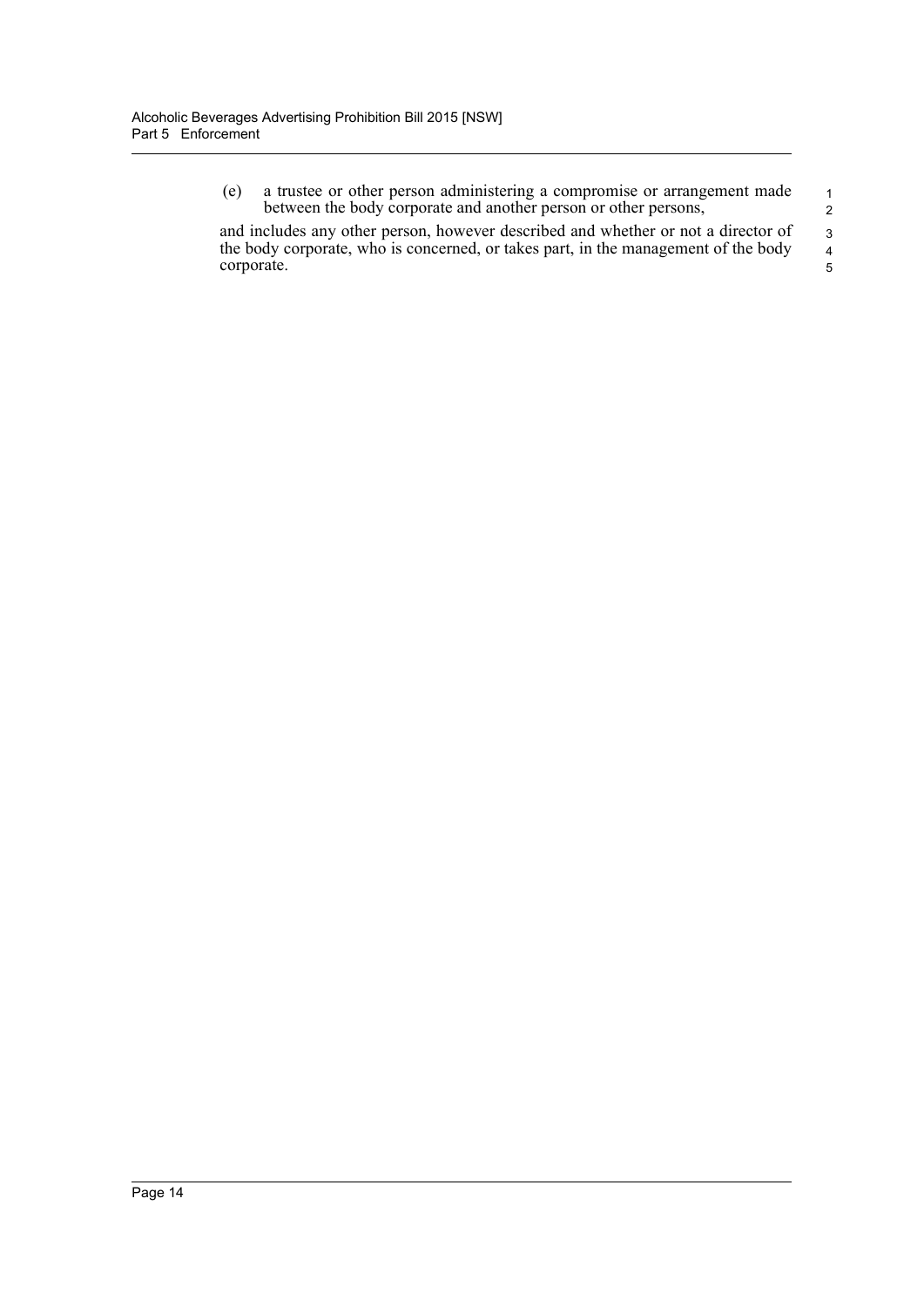| (e)        | a trustee or other person administering a compromise or arrangement made           | $\mathbf{1}$   |
|------------|------------------------------------------------------------------------------------|----------------|
|            | between the body corporate and another person or other persons,                    | 2              |
|            | and includes any other person, however described and whether or not a director of  | $\mathcal{R}$  |
|            | the body corporate, who is concerned, or takes part, in the management of the body | $\overline{4}$ |
| corporate. |                                                                                    | 5.             |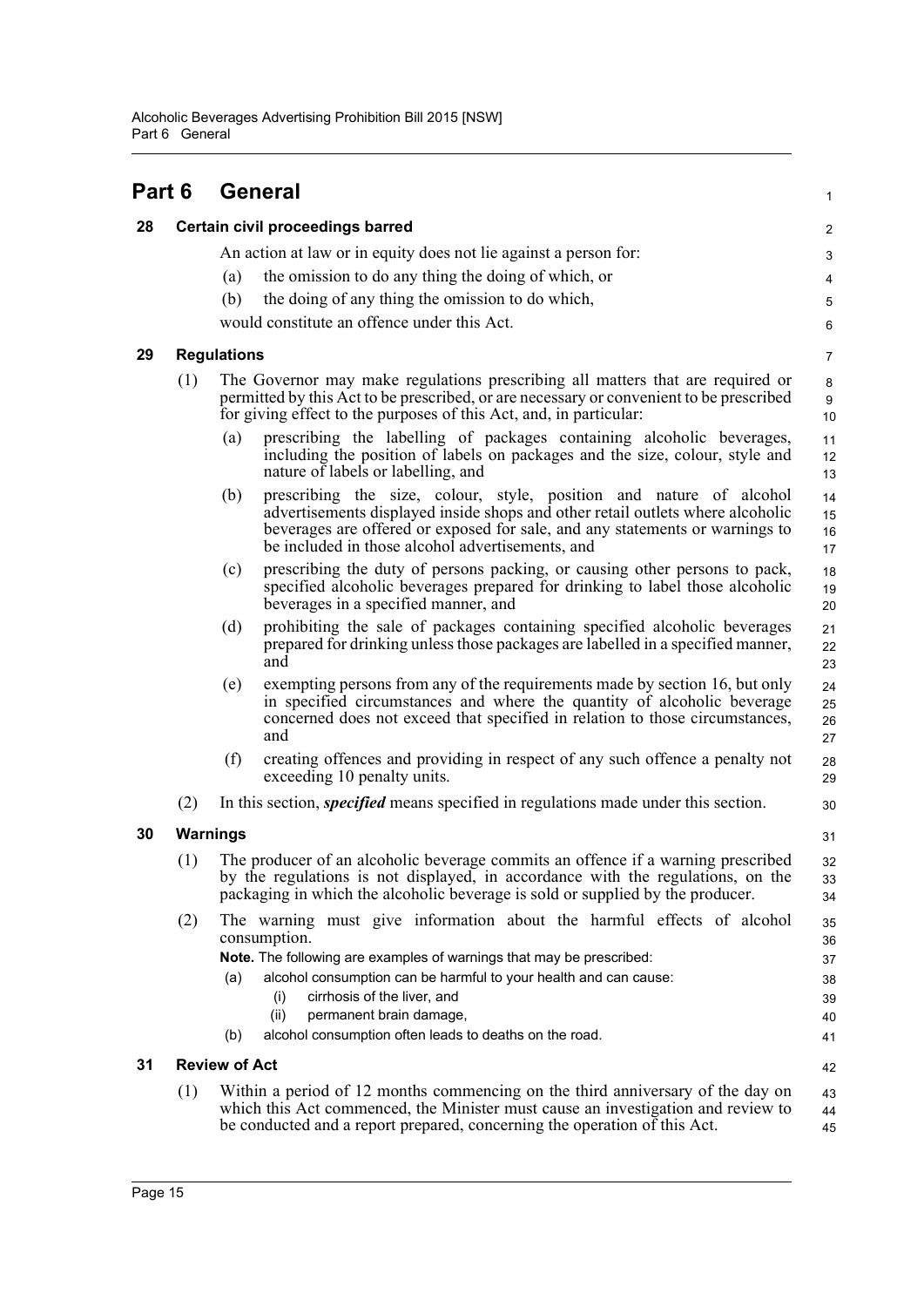<span id="page-20-4"></span><span id="page-20-3"></span><span id="page-20-2"></span><span id="page-20-1"></span><span id="page-20-0"></span>

| Part 6 |          | <b>General</b>                                                                                                                                                                                                                                                                                                                                                                      | 1                                      |
|--------|----------|-------------------------------------------------------------------------------------------------------------------------------------------------------------------------------------------------------------------------------------------------------------------------------------------------------------------------------------------------------------------------------------|----------------------------------------|
| 28     |          | Certain civil proceedings barred                                                                                                                                                                                                                                                                                                                                                    | $\overline{c}$                         |
|        |          | An action at law or in equity does not lie against a person for:                                                                                                                                                                                                                                                                                                                    | 3                                      |
|        |          | the omission to do any thing the doing of which, or<br>(a)                                                                                                                                                                                                                                                                                                                          | 4                                      |
|        |          | the doing of any thing the omission to do which,<br>(b)                                                                                                                                                                                                                                                                                                                             | $\mathbf 5$                            |
|        |          | would constitute an offence under this Act.                                                                                                                                                                                                                                                                                                                                         | $\,6\,$                                |
| 29     |          | <b>Regulations</b>                                                                                                                                                                                                                                                                                                                                                                  | $\overline{7}$                         |
|        | (1)      | The Governor may make regulations prescribing all matters that are required or<br>permitted by this Act to be prescribed, or are necessary or convenient to be prescribed<br>for giving effect to the purposes of this Act, and, in particular:                                                                                                                                     | 8<br>$\boldsymbol{9}$<br>10            |
|        |          | prescribing the labelling of packages containing alcoholic beverages,<br>(a)<br>including the position of labels on packages and the size, colour, style and<br>nature of labels or labelling, and                                                                                                                                                                                  | 11<br>12<br>13                         |
|        |          | prescribing the size, colour, style, position and nature of alcohol<br>(b)<br>advertisements displayed inside shops and other retail outlets where alcoholic<br>beverages are offered or exposed for sale, and any statements or warnings to<br>be included in those alcohol advertisements, and                                                                                    | 14<br>15<br>16<br>17                   |
|        |          | prescribing the duty of persons packing, or causing other persons to pack,<br>(c)<br>specified alcoholic beverages prepared for drinking to label those alcoholic<br>beverages in a specified manner, and                                                                                                                                                                           | 18<br>19<br>20                         |
|        |          | prohibiting the sale of packages containing specified alcoholic beverages<br>(d)<br>prepared for drinking unless those packages are labelled in a specified manner,<br>and                                                                                                                                                                                                          | 21<br>22<br>23                         |
|        |          | exempting persons from any of the requirements made by section 16, but only<br>(e)<br>in specified circumstances and where the quantity of alcoholic beverage<br>concerned does not exceed that specified in relation to those circumstances,<br>and                                                                                                                                | 24<br>25<br>26<br>27                   |
|        |          | (f)<br>creating offences and providing in respect of any such offence a penalty not<br>exceeding 10 penalty units.                                                                                                                                                                                                                                                                  | 28<br>29                               |
|        | (2)      | In this section, <i>specified</i> means specified in regulations made under this section.                                                                                                                                                                                                                                                                                           | 30                                     |
| 30     | Warnings |                                                                                                                                                                                                                                                                                                                                                                                     | 31                                     |
|        | (1)      | The producer of an alcoholic beverage commits an offence if a warning prescribed<br>by the regulations is not displayed, in accordance with the regulations, on the<br>packaging in which the alcoholic beverage is sold or supplied by the producer.                                                                                                                               | 32<br>33<br>34                         |
|        | (2)      | The warning must give information about the harmful effects of alcohol<br>consumption.<br>Note. The following are examples of warnings that may be prescribed:<br>alcohol consumption can be harmful to your health and can cause:<br>(a)<br>cirrhosis of the liver, and<br>(i)<br>(ii)<br>permanent brain damage,<br>alcohol consumption often leads to deaths on the road.<br>(b) | 35<br>36<br>37<br>38<br>39<br>40<br>41 |
| 31     |          | <b>Review of Act</b>                                                                                                                                                                                                                                                                                                                                                                | 42                                     |
|        | (1)      | Within a period of 12 months commencing on the third anniversary of the day on<br>which this Act commenced, the Minister must cause an investigation and review to<br>be conducted and a report prepared, concerning the operation of this Act.                                                                                                                                     | 43<br>44<br>45                         |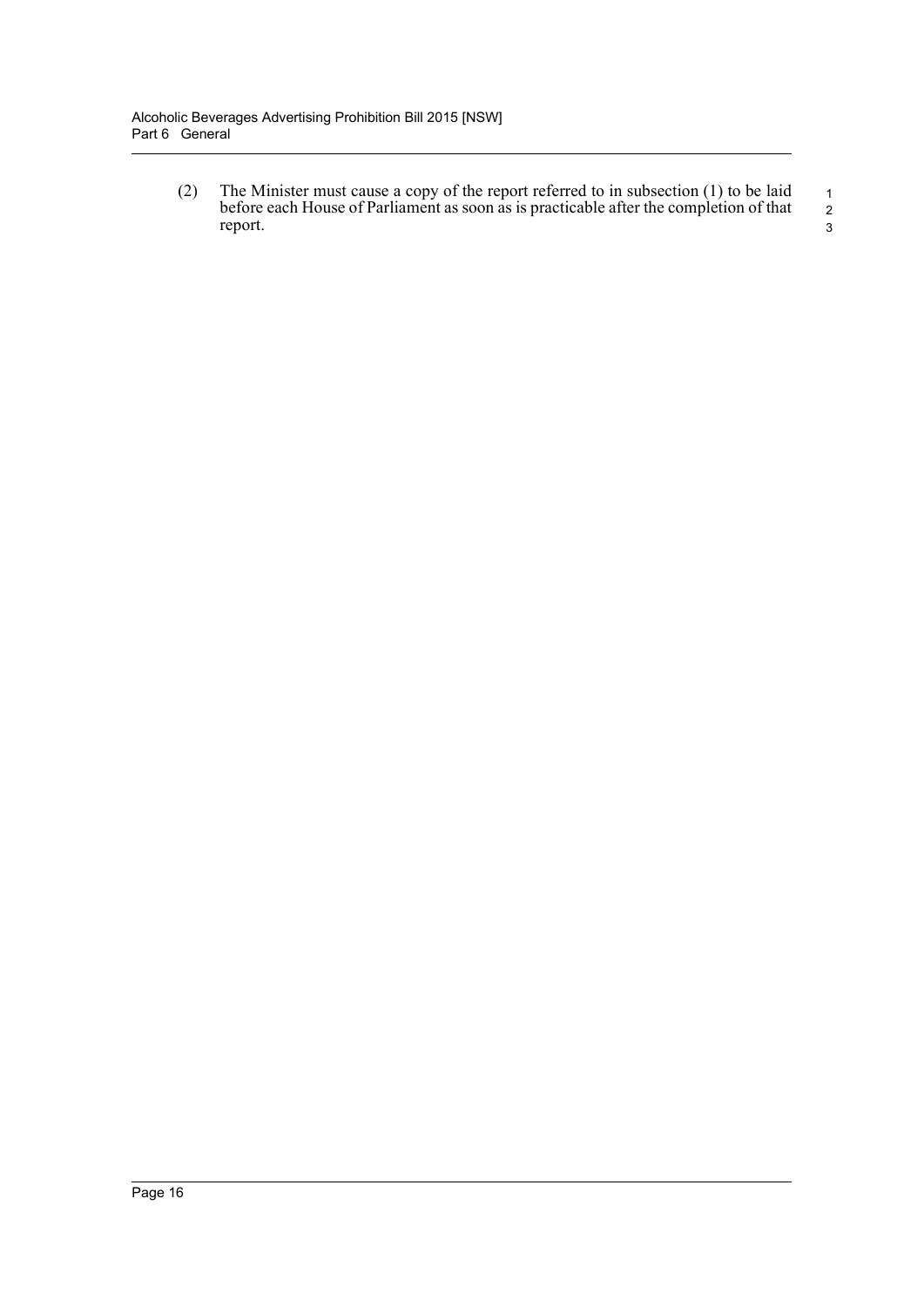(2) The Minister must cause a copy of the report referred to in subsection (1) to be laid before each House of Parliament as soon as is practicable after the completion of that report.

 1 2 3